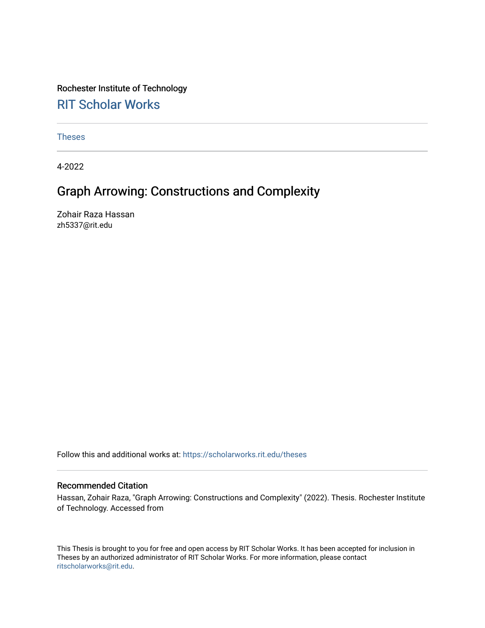# Rochester Institute of Technology

# [RIT Scholar Works](https://scholarworks.rit.edu/)

[Theses](https://scholarworks.rit.edu/theses) 

4-2022

# Graph Arrowing: Constructions and Complexity

Zohair Raza Hassan zh5337@rit.edu

Follow this and additional works at: [https://scholarworks.rit.edu/theses](https://scholarworks.rit.edu/theses?utm_source=scholarworks.rit.edu%2Ftheses%2F11142&utm_medium=PDF&utm_campaign=PDFCoverPages) 

#### Recommended Citation

Hassan, Zohair Raza, "Graph Arrowing: Constructions and Complexity" (2022). Thesis. Rochester Institute of Technology. Accessed from

This Thesis is brought to you for free and open access by RIT Scholar Works. It has been accepted for inclusion in Theses by an authorized administrator of RIT Scholar Works. For more information, please contact [ritscholarworks@rit.edu](mailto:ritscholarworks@rit.edu).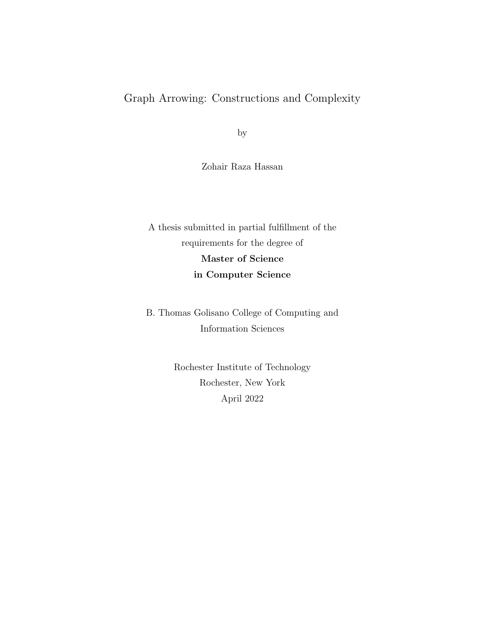## Graph Arrowing: Constructions and Complexity

by

Zohair Raza Hassan

A thesis submitted in partial fulfillment of the requirements for the degree of Master of Science in Computer Science

B. Thomas Golisano College of Computing and Information Sciences

> Rochester Institute of Technology Rochester, New York April 2022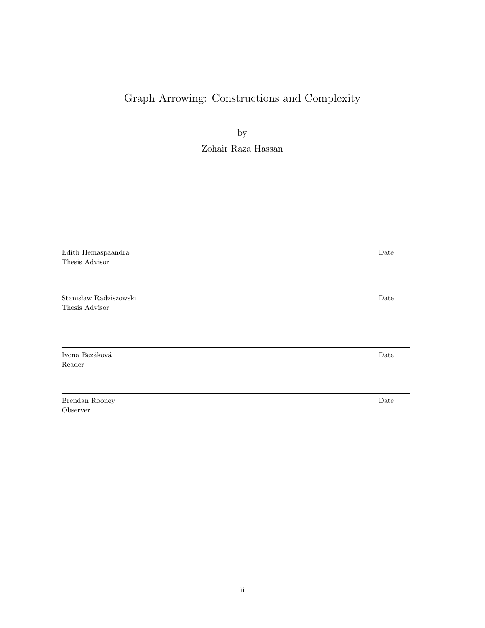## Graph Arrowing: Constructions and Complexity

by

Zohair Raza Hassan

Edith Hemaspaandra Date Thesis Advisor

Stanis law Radziszowski Date Thesis Advisor

Ivona Bezáková  $\hfill$  Date Reader

Brendan Rooney Date Observer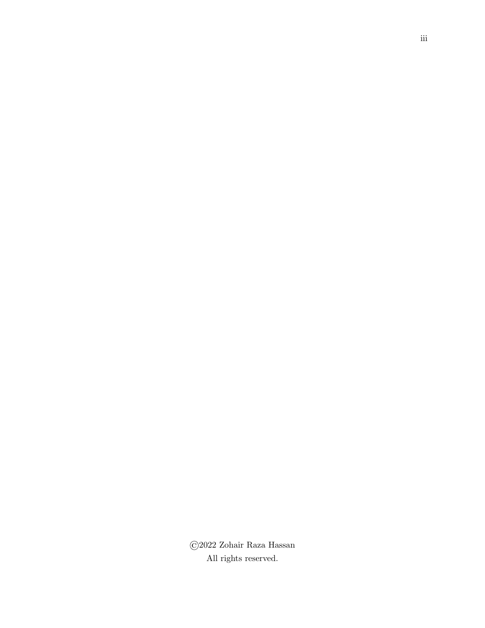©2022 Zohair Raza Hassan All rights reserved.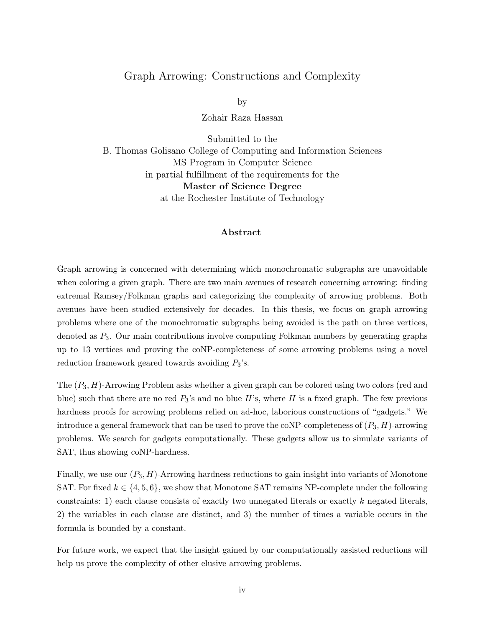### Graph Arrowing: Constructions and Complexity

by

Zohair Raza Hassan

Submitted to the B. Thomas Golisano College of Computing and Information Sciences MS Program in Computer Science in partial fulfillment of the requirements for the Master of Science Degree at the Rochester Institute of Technology

#### Abstract

Graph arrowing is concerned with determining which monochromatic subgraphs are unavoidable when coloring a given graph. There are two main avenues of research concerning arrowing: finding extremal Ramsey/Folkman graphs and categorizing the complexity of arrowing problems. Both avenues have been studied extensively for decades. In this thesis, we focus on graph arrowing problems where one of the monochromatic subgraphs being avoided is the path on three vertices, denoted as P3. Our main contributions involve computing Folkman numbers by generating graphs up to 13 vertices and proving the coNP-completeness of some arrowing problems using a novel reduction framework geared towards avoiding  $P_3$ 's.

The  $(P_3, H)$ -Arrowing Problem asks whether a given graph can be colored using two colors (red and blue) such that there are no red  $P_3$ 's and no blue H's, where H is a fixed graph. The few previous hardness proofs for arrowing problems relied on ad-hoc, laborious constructions of "gadgets." We introduce a general framework that can be used to prove the coNP-completeness of  $(P_3, H)$ -arrowing problems. We search for gadgets computationally. These gadgets allow us to simulate variants of SAT, thus showing coNP-hardness.

Finally, we use our  $(P_3, H)$ -Arrowing hardness reductions to gain insight into variants of Monotone SAT. For fixed  $k \in \{4, 5, 6\}$ , we show that Monotone SAT remains NP-complete under the following constraints: 1) each clause consists of exactly two unnegated literals or exactly  $k$  negated literals, 2) the variables in each clause are distinct, and 3) the number of times a variable occurs in the formula is bounded by a constant.

For future work, we expect that the insight gained by our computationally assisted reductions will help us prove the complexity of other elusive arrowing problems.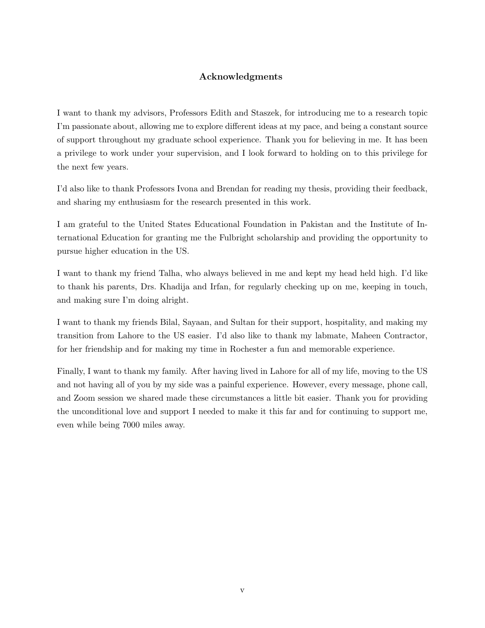## Acknowledgments

I want to thank my advisors, Professors Edith and Staszek, for introducing me to a research topic I'm passionate about, allowing me to explore different ideas at my pace, and being a constant source of support throughout my graduate school experience. Thank you for believing in me. It has been a privilege to work under your supervision, and I look forward to holding on to this privilege for the next few years.

I'd also like to thank Professors Ivona and Brendan for reading my thesis, providing their feedback, and sharing my enthusiasm for the research presented in this work.

I am grateful to the United States Educational Foundation in Pakistan and the Institute of International Education for granting me the Fulbright scholarship and providing the opportunity to pursue higher education in the US.

I want to thank my friend Talha, who always believed in me and kept my head held high. I'd like to thank his parents, Drs. Khadija and Irfan, for regularly checking up on me, keeping in touch, and making sure I'm doing alright.

I want to thank my friends Bilal, Sayaan, and Sultan for their support, hospitality, and making my transition from Lahore to the US easier. I'd also like to thank my labmate, Maheen Contractor, for her friendship and for making my time in Rochester a fun and memorable experience.

Finally, I want to thank my family. After having lived in Lahore for all of my life, moving to the US and not having all of you by my side was a painful experience. However, every message, phone call, and Zoom session we shared made these circumstances a little bit easier. Thank you for providing the unconditional love and support I needed to make it this far and for continuing to support me, even while being 7000 miles away.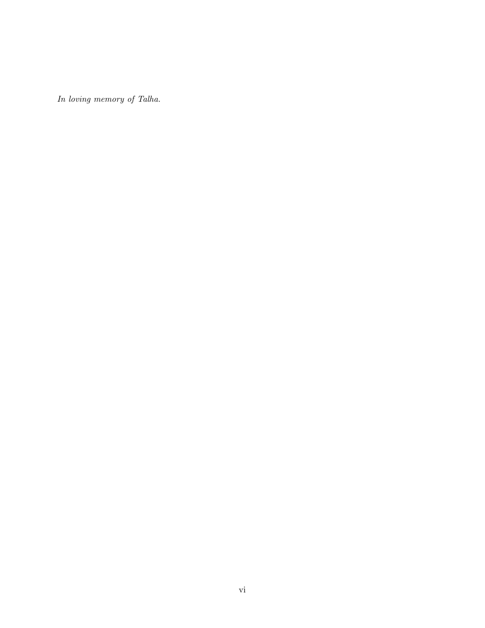In loving memory of Talha.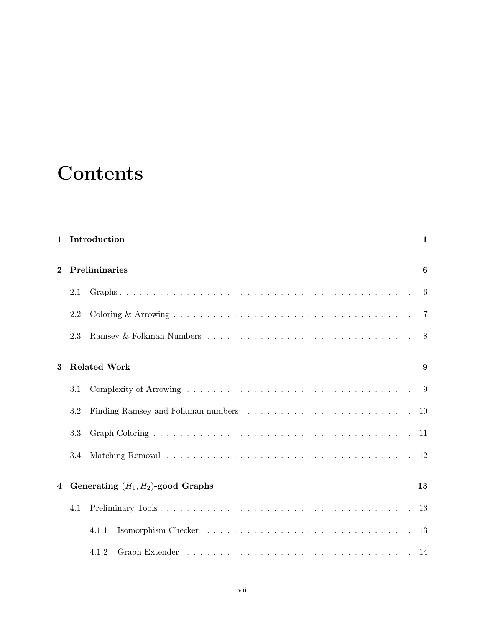# **Contents**

|          |     | 1 Introduction                       | $\mathbf{1}$   |  |  |  |  |  |  |  |  |  |  |  |
|----------|-----|--------------------------------------|----------------|--|--|--|--|--|--|--|--|--|--|--|
| $\bf{2}$ |     | Preliminaries                        |                |  |  |  |  |  |  |  |  |  |  |  |
|          | 2.1 |                                      | 6              |  |  |  |  |  |  |  |  |  |  |  |
|          | 2.2 |                                      | $\overline{7}$ |  |  |  |  |  |  |  |  |  |  |  |
|          | 2.3 |                                      | 8              |  |  |  |  |  |  |  |  |  |  |  |
| 3        |     | <b>Related Work</b>                  | 9              |  |  |  |  |  |  |  |  |  |  |  |
|          | 3.1 |                                      | 9              |  |  |  |  |  |  |  |  |  |  |  |
|          | 3.2 |                                      | -10            |  |  |  |  |  |  |  |  |  |  |  |
|          | 3.3 |                                      | -11            |  |  |  |  |  |  |  |  |  |  |  |
|          | 3.4 |                                      | <sup>12</sup>  |  |  |  |  |  |  |  |  |  |  |  |
| 4        |     | Generating $(H_1, H_2)$ -good Graphs | 13             |  |  |  |  |  |  |  |  |  |  |  |
|          | 4.1 |                                      | -13            |  |  |  |  |  |  |  |  |  |  |  |
|          |     | 4.1.1                                | -13            |  |  |  |  |  |  |  |  |  |  |  |
|          |     | 4.1.2                                |                |  |  |  |  |  |  |  |  |  |  |  |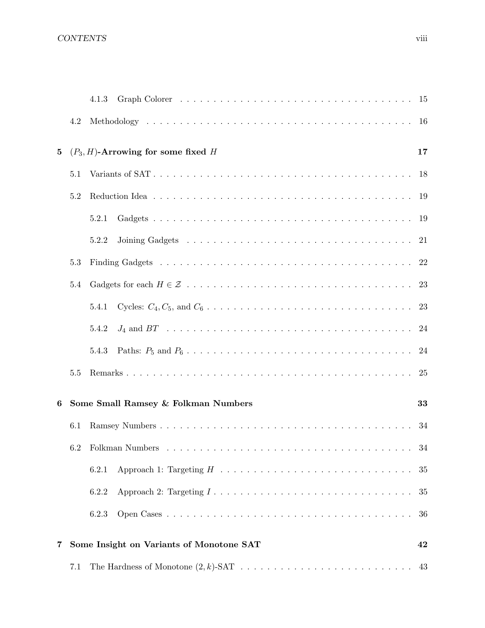## CONTENTS viii

|          |     | 4.1.3                                                                                                |    |
|----------|-----|------------------------------------------------------------------------------------------------------|----|
|          | 4.2 |                                                                                                      |    |
| $\bf{5}$ |     | $(P_3, H)$ -Arrowing for some fixed H                                                                | 17 |
|          | 5.1 |                                                                                                      |    |
|          | 5.2 |                                                                                                      |    |
|          |     | 5.2.1                                                                                                |    |
|          |     | 5.2.2                                                                                                |    |
|          | 5.3 |                                                                                                      |    |
|          | 5.4 |                                                                                                      |    |
|          |     | 5.4.1                                                                                                |    |
|          |     | 5.4.2                                                                                                |    |
|          |     | 5.4.3                                                                                                |    |
|          | 5.5 |                                                                                                      |    |
| 6        |     | Some Small Ramsey & Folkman Numbers                                                                  | 33 |
|          | 6.1 |                                                                                                      | 34 |
|          |     | 6.2 Folkman Numbers.                                                                                 | 34 |
|          |     | 6.2.1                                                                                                | 35 |
|          |     | Approach 2: Targeting $I \dots \dots \dots \dots \dots \dots \dots \dots \dots \dots \dots$<br>6.2.2 | 35 |
|          |     | 6.2.3                                                                                                | 36 |
| 7        |     | Some Insight on Variants of Monotone SAT                                                             | 42 |
|          | 7.1 |                                                                                                      |    |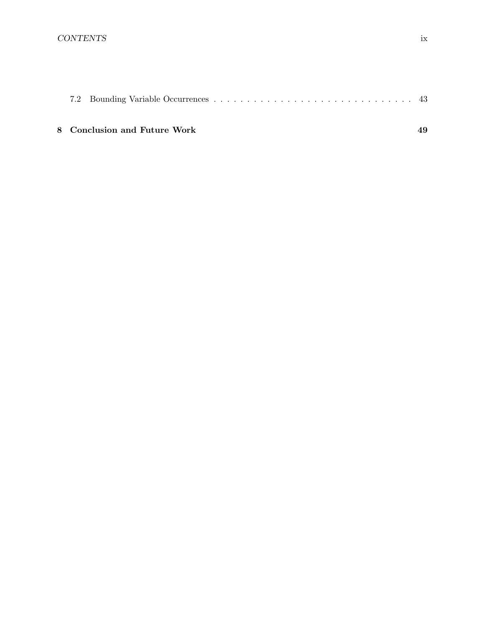## 8 Conclusion and Future Work 49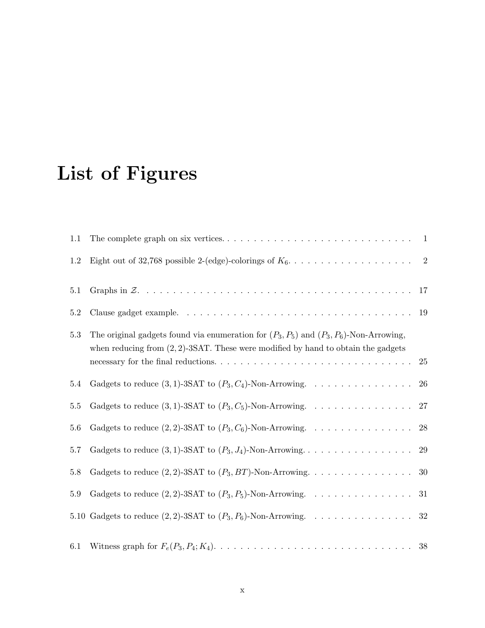# List of Figures

| 1.1     |                                                                                                                                                                                                                                                                                                            |                |
|---------|------------------------------------------------------------------------------------------------------------------------------------------------------------------------------------------------------------------------------------------------------------------------------------------------------------|----------------|
| 1.2     |                                                                                                                                                                                                                                                                                                            | $\overline{2}$ |
| 5.1     |                                                                                                                                                                                                                                                                                                            |                |
| $5.2\,$ |                                                                                                                                                                                                                                                                                                            | 19             |
| $5.3\,$ | The original gadgets found via enumeration for $(P_3, P_5)$ and $(P_3, P_6)$ -Non-Arrowing,<br>when reducing from $(2, 2)$ -3SAT. These were modified by hand to obtain the gadgets<br>necessary for the final reductions. $\dots \dots \dots \dots \dots \dots \dots \dots \dots \dots \dots \dots \dots$ | 25             |
| 5.4     | Gadgets to reduce $(3,1)$ -3SAT to $(P_3, C_4)$ -Non-Arrowing.                                                                                                                                                                                                                                             | 26             |
| $5.5\,$ | Gadgets to reduce $(3,1)$ -3SAT to $(P_3, C_5)$ -Non-Arrowing.                                                                                                                                                                                                                                             | $27\,$         |
| 5.6     | Gadgets to reduce $(2, 2)$ -3SAT to $(P_3, C_6)$ -Non-Arrowing.                                                                                                                                                                                                                                            | 28             |
| 5.7     | Gadgets to reduce $(3, 1)$ -3SAT to $(P_3, J_4)$ -Non-Arrowing                                                                                                                                                                                                                                             | 29             |
| 5.8     |                                                                                                                                                                                                                                                                                                            | 30             |
| 5.9     | Gadgets to reduce $(2, 2)$ -3SAT to $(P_3, P_5)$ -Non-Arrowing.                                                                                                                                                                                                                                            | 31             |
|         | 5.10 Gadgets to reduce $(2, 2)$ -3SAT to $(P_3, P_6)$ -Non-Arrowing. 32                                                                                                                                                                                                                                    |                |
| 6.1     |                                                                                                                                                                                                                                                                                                            | 38             |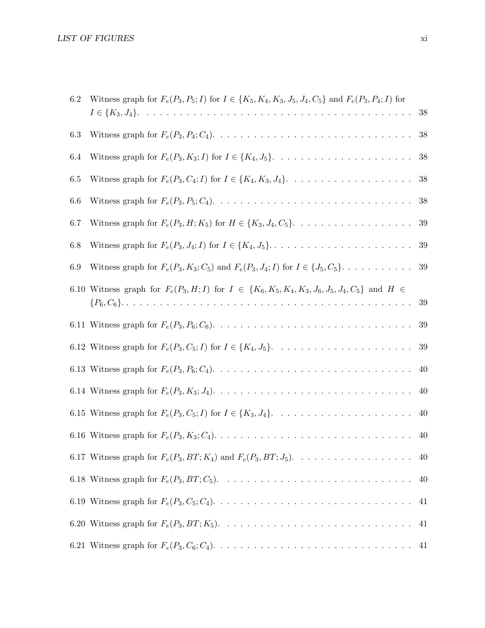| 6.2 | Witness graph for $F_e(P_3, P_5; I)$ for $I \in \{K_5, K_4, K_3, J_5, J_4, C_5\}$ and $F_e(P_3, P_4; I)$ for |        |
|-----|--------------------------------------------------------------------------------------------------------------|--------|
|     |                                                                                                              | 38     |
| 6.3 |                                                                                                              | 38     |
| 6.4 |                                                                                                              | 38     |
| 6.5 |                                                                                                              | 38     |
| 6.6 |                                                                                                              | 38     |
| 6.7 | Witness graph for $F_e(P_3, H; K_5)$ for $H \in \{K_3, J_4, C_5\}$ .                                         | $39\,$ |
| 6.8 |                                                                                                              | 39     |
| 6.9 | Witness graph for $F_e(P_3, K_3; C_5)$ and $F_e(P_3, J_4; I)$ for $I \in \{J_5, C_5\}$ .                     | 39     |
|     | 6.10 Witness graph for $F_e(P_3, H; I)$ for $I \in \{K_6, K_5, K_4, K_3, J_6, J_5, J_4, C_5\}$ and $H \in$   |        |
|     |                                                                                                              | 39     |
|     |                                                                                                              | 39     |
|     |                                                                                                              | $39\,$ |
|     |                                                                                                              | 40     |
|     |                                                                                                              | 40     |
|     |                                                                                                              | 40     |
|     |                                                                                                              | 40     |
|     |                                                                                                              | 40     |
|     |                                                                                                              | 40     |
|     |                                                                                                              | 41     |
|     |                                                                                                              | 41     |
|     |                                                                                                              |        |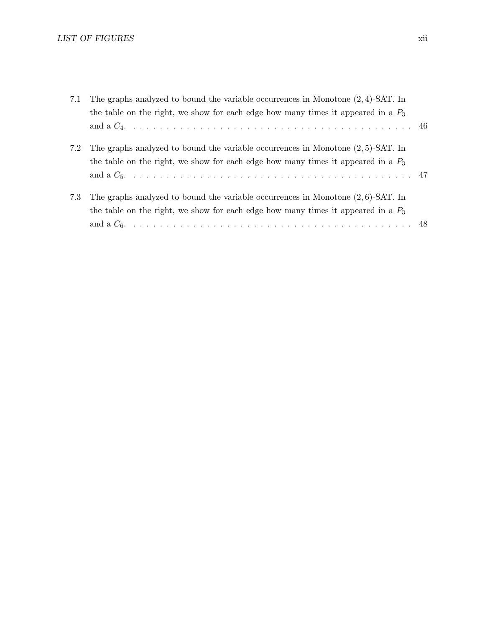| 7.1 | The graphs analyzed to bound the variable occurrences in Monotone $(2, 4)$ -SAT. In |  |
|-----|-------------------------------------------------------------------------------------|--|
|     | the table on the right, we show for each edge how many times it appeared in a $P_3$ |  |
|     |                                                                                     |  |
| 7.2 | The graphs analyzed to bound the variable occurrences in Monotone $(2,5)$ -SAT. In  |  |
|     | the table on the right, we show for each edge how many times it appeared in a $P_3$ |  |
|     |                                                                                     |  |
| 7.3 | The graphs analyzed to bound the variable occurrences in Monotone $(2, 6)$ -SAT. In |  |
|     | the table on the right, we show for each edge how many times it appeared in a $P_3$ |  |
|     |                                                                                     |  |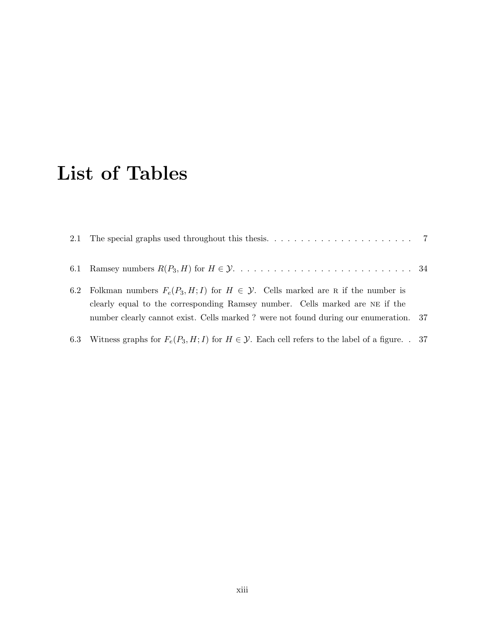# List of Tables

| 6.2 | Folkman numbers $F_e(P_3, H; I)$ for $H \in \mathcal{Y}$ . Cells marked are R if the number is<br>clearly equal to the corresponding Ramsey number. Cells marked are NE if the<br>number clearly cannot exist. Cells marked? were not found during our enumeration. 37 |  |
|-----|------------------------------------------------------------------------------------------------------------------------------------------------------------------------------------------------------------------------------------------------------------------------|--|
|     | 6.3 Witness graphs for $F_e(P_3, H; I)$ for $H \in \mathcal{Y}$ . Each cell refers to the label of a figure. . 37                                                                                                                                                      |  |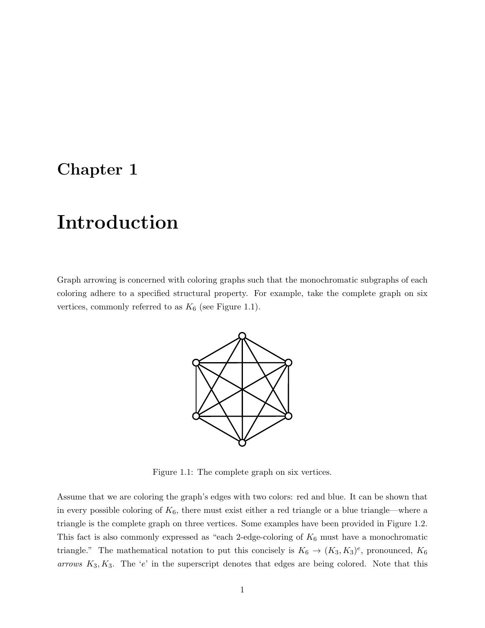# Chapter 1

# Introduction

Graph arrowing is concerned with coloring graphs such that the monochromatic subgraphs of each coloring adhere to a specified structural property. For example, take the complete graph on six vertices, commonly referred to as  $K_6$  (see Figure 1.1).



Figure 1.1: The complete graph on six vertices.

Assume that we are coloring the graph's edges with two colors: red and blue. It can be shown that in every possible coloring of  $K_6$ , there must exist either a red triangle or a blue triangle—where a triangle is the complete graph on three vertices. Some examples have been provided in Figure 1.2. This fact is also commonly expressed as "each 2-edge-coloring of  $K_6$  must have a monochromatic triangle." The mathematical notation to put this concisely is  $K_6 \to (K_3, K_3)^e$ , pronounced,  $K_6$ arrows  $K_3, K_3$ . The 'e' in the superscript denotes that edges are being colored. Note that this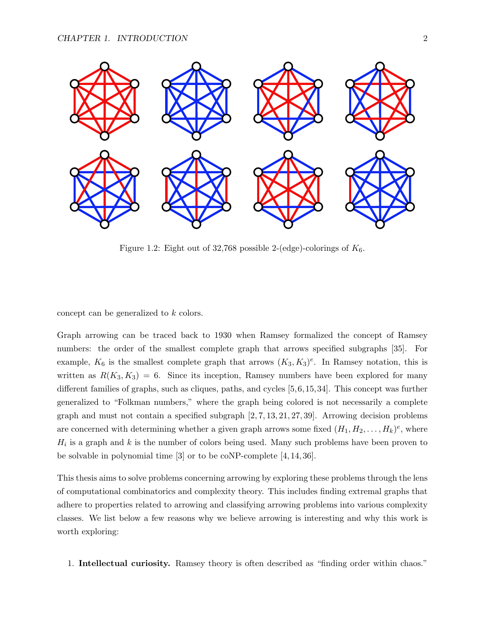

Figure 1.2: Eight out of 32,768 possible 2-(edge)-colorings of  $K_6$ .

concept can be generalized to k colors.

Graph arrowing can be traced back to 1930 when Ramsey formalized the concept of Ramsey numbers: the order of the smallest complete graph that arrows specified subgraphs [35]. For example,  $K_6$  is the smallest complete graph that arrows  $(K_3, K_3)^e$ . In Ramsey notation, this is written as  $R(K_3, K_3) = 6$ . Since its inception, Ramsey numbers have been explored for many different families of graphs, such as cliques, paths, and cycles [5,6,15,34]. This concept was further generalized to "Folkman numbers," where the graph being colored is not necessarily a complete graph and must not contain a specified subgraph  $[2, 7, 13, 21, 27, 39]$ . Arrowing decision problems are concerned with determining whether a given graph arrows some fixed  $(H_1, H_2, \ldots, H_k)^e$ , where  $H_i$  is a graph and k is the number of colors being used. Many such problems have been proven to be solvable in polynomial time [3] or to be coNP-complete [4, 14, 36].

This thesis aims to solve problems concerning arrowing by exploring these problems through the lens of computational combinatorics and complexity theory. This includes finding extremal graphs that adhere to properties related to arrowing and classifying arrowing problems into various complexity classes. We list below a few reasons why we believe arrowing is interesting and why this work is worth exploring:

1. Intellectual curiosity. Ramsey theory is often described as "finding order within chaos."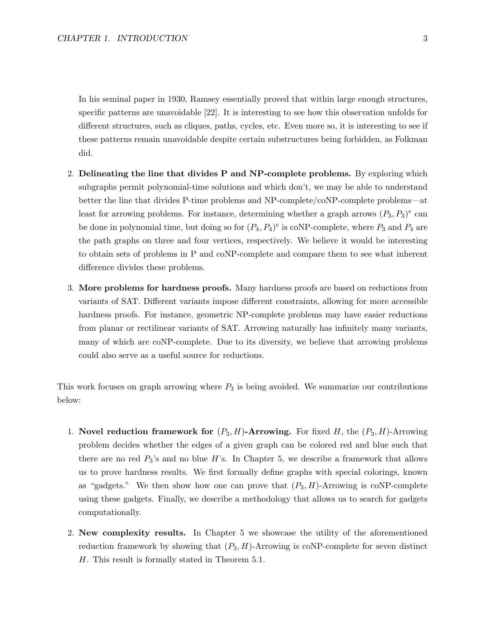In his seminal paper in 1930, Ramsey essentially proved that within large enough structures, specific patterns are unavoidable [22]. It is interesting to see how this observation unfolds for different structures, such as cliques, paths, cycles, etc. Even more so, it is interesting to see if these patterns remain unavoidable despite certain substructures being forbidden, as Folkman did.

- 2. Delineating the line that divides P and NP-complete problems. By exploring which subgraphs permit polynomial-time solutions and which don't, we may be able to understand better the line that divides P-time problems and NP-complete/coNP-complete problems—at least for arrowing problems. For instance, determining whether a graph arrows  $(P_3, P_3)^e$  can be done in polynomial time, but doing so for  $(P_4, P_4)^e$  is coNP-complete, where  $P_3$  and  $P_4$  are the path graphs on three and four vertices, respectively. We believe it would be interesting to obtain sets of problems in P and coNP-complete and compare them to see what inherent difference divides these problems.
- 3. More problems for hardness proofs. Many hardness proofs are based on reductions from variants of SAT. Different variants impose different constraints, allowing for more accessible hardness proofs. For instance, geometric NP-complete problems may have easier reductions from planar or rectilinear variants of SAT. Arrowing naturally has infinitely many variants, many of which are coNP-complete. Due to its diversity, we believe that arrowing problems could also serve as a useful source for reductions.

This work focuses on graph arrowing where  $P_3$  is being avoided. We summarize our contributions below:

- 1. Novel reduction framework for  $(P_3, H)$ -Arrowing. For fixed H, the  $(P_3, H)$ -Arrowing problem decides whether the edges of a given graph can be colored red and blue such that there are no red  $P_3$ 's and no blue H's. In Chapter 5, we describe a framework that allows us to prove hardness results. We first formally define graphs with special colorings, known as "gadgets." We then show how one can prove that  $(P_3, H)$ -Arrowing is coNP-complete using these gadgets. Finally, we describe a methodology that allows us to search for gadgets computationally.
- 2. New complexity results. In Chapter 5 we showcase the utility of the aforementioned reduction framework by showing that  $(P_3, H)$ -Arrowing is coNP-complete for seven distinct H. This result is formally stated in Theorem 5.1.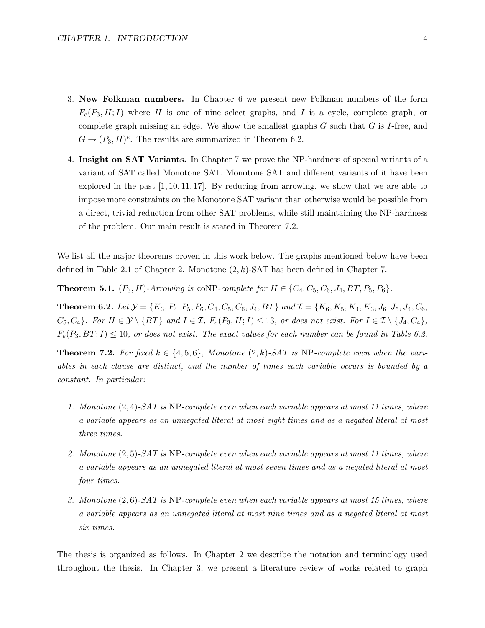- 3. New Folkman numbers. In Chapter 6 we present new Folkman numbers of the form  $F_e(P_3, H; I)$  where H is one of nine select graphs, and I is a cycle, complete graph, or complete graph missing an edge. We show the smallest graphs  $G$  such that  $G$  is  $I$ -free, and  $G \to (P_3, H)^e$ . The results are summarized in Theorem 6.2.
- 4. Insight on SAT Variants. In Chapter 7 we prove the NP-hardness of special variants of a variant of SAT called Monotone SAT. Monotone SAT and different variants of it have been explored in the past  $[1, 10, 11, 17]$ . By reducing from arrowing, we show that we are able to impose more constraints on the Monotone SAT variant than otherwise would be possible from a direct, trivial reduction from other SAT problems, while still maintaining the NP-hardness of the problem. Our main result is stated in Theorem 7.2.

We list all the major theorems proven in this work below. The graphs mentioned below have been defined in Table 2.1 of Chapter 2. Monotone  $(2, k)$ -SAT has been defined in Chapter 7.

**Theorem 5.1.**  $(P_3, H)$ -Arrowing is coNP-complete for  $H \in \{C_4, C_5, C_6, J_4, BT, P_5, P_6\}$ .

Theorem 6.2. Let Y = {K3, P4, P5, P6, C4, C5, C6, J4, BT} and I = {K6, K5, K4, K3, J6, J5, J4, C6,  $C_5, C_4$ . For  $H \in \mathcal{Y} \setminus \{BT\}$  and  $I \in \mathcal{I}$ ,  $F_e(P_3, H; I) \leq 13$ , or does not exist. For  $I \in \mathcal{I} \setminus \{J_4, C_4\}$ ,  $F_e(P_3, BT; I) \le 10$ , or does not exist. The exact values for each number can be found in Table 6.2.

**Theorem 7.2.** For fixed  $k \in \{4, 5, 6\}$ , Monotone  $(2, k)$ -SAT is NP-complete even when the variables in each clause are distinct, and the number of times each variable occurs is bounded by a constant. In particular:

- 1. Monotone (2, 4)-SAT is NP-complete even when each variable appears at most 11 times, where a variable appears as an unnegated literal at most eight times and as a negated literal at most three times.
- 2. Monotone (2,5)-SAT is NP-complete even when each variable appears at most 11 times, where a variable appears as an unnegated literal at most seven times and as a negated literal at most four times.
- 3. Monotone (2, 6)-SAT is NP-complete even when each variable appears at most 15 times, where a variable appears as an unnegated literal at most nine times and as a negated literal at most six times.

The thesis is organized as follows. In Chapter 2 we describe the notation and terminology used throughout the thesis. In Chapter 3, we present a literature review of works related to graph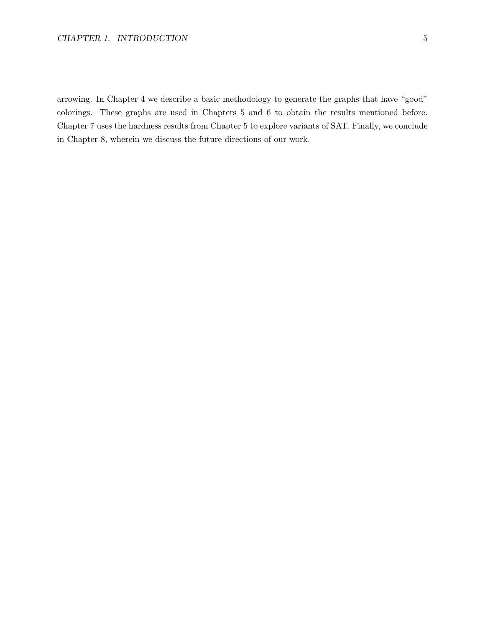#### CHAPTER 1. INTRODUCTION 5

arrowing. In Chapter 4 we describe a basic methodology to generate the graphs that have "good" colorings. These graphs are used in Chapters 5 and 6 to obtain the results mentioned before. Chapter 7 uses the hardness results from Chapter 5 to explore variants of SAT. Finally, we conclude in Chapter 8, wherein we discuss the future directions of our work.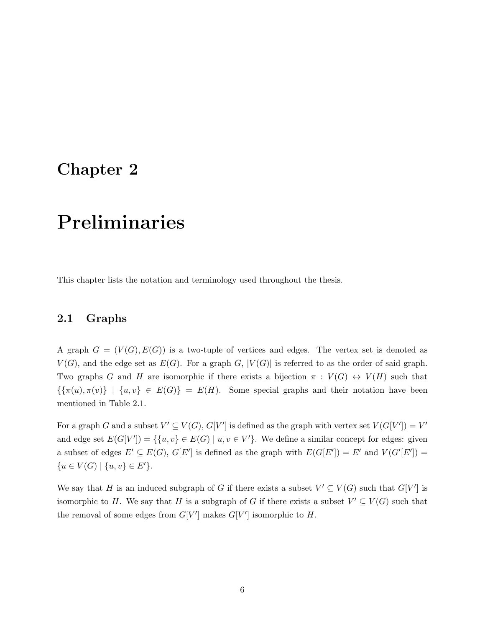# Chapter 2

# Preliminaries

This chapter lists the notation and terminology used throughout the thesis.

### 2.1 Graphs

A graph  $G = (V(G), E(G))$  is a two-tuple of vertices and edges. The vertex set is denoted as  $V(G)$ , and the edge set as  $E(G)$ . For a graph G,  $|V(G)|$  is referred to as the order of said graph. Two graphs G and H are isomorphic if there exists a bijection  $\pi : V(G) \leftrightarrow V(H)$  such that  ${\lbrace \{\pi(u), \pi(v)\}\mid \{u, v\} \in E(G)\rbrace} = E(H)$ . Some special graphs and their notation have been mentioned in Table 2.1.

For a graph G and a subset  $V' \subseteq V(G)$ ,  $G[V']$  is defined as the graph with vertex set  $V(G[V']) = V'$ and edge set  $E(G[V']) = \{ \{u, v\} \in E(G) \mid u, v \in V' \}.$  We define a similar concept for edges: given a subset of edges  $E' \subseteq E(G)$ ,  $G[E']$  is defined as the graph with  $E(G[E']) = E'$  and  $V(G'[E']) =$  ${u \in V(G) \mid \{u, v\} \in E'}.$ 

We say that H is an induced subgraph of G if there exists a subset  $V' \subseteq V(G)$  such that  $G[V']$  is isomorphic to H. We say that H is a subgraph of G if there exists a subset  $V' \subseteq V(G)$  such that the removal of some edges from  $G[V']$  makes  $G[V']$  isomorphic to  $H$ .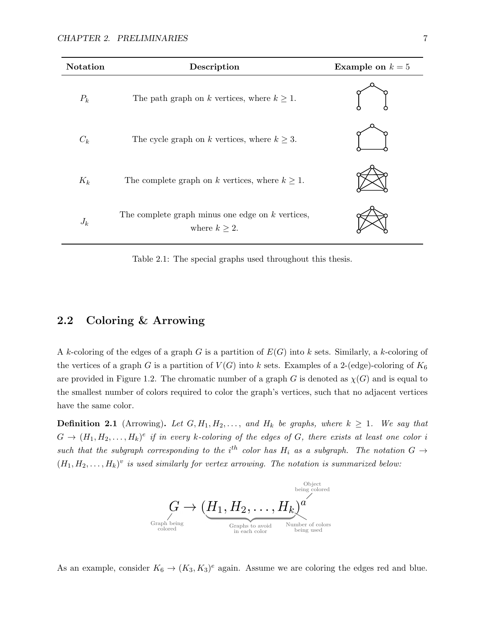| Notation | Description                                                              | Example on $k=5$ |
|----------|--------------------------------------------------------------------------|------------------|
| $P_k$    | The path graph on k vertices, where $k \geq 1$ .                         |                  |
| $C_k$    | The cycle graph on k vertices, where $k \geq 3$ .                        |                  |
| $K_k$    | The complete graph on k vertices, where $k \geq 1$ .                     |                  |
| $J_k$    | The complete graph minus one edge on $k$ vertices,<br>where $k \geq 2$ . |                  |

Table 2.1: The special graphs used throughout this thesis.

## 2.2 Coloring & Arrowing

A k-coloring of the edges of a graph G is a partition of  $E(G)$  into k sets. Similarly, a k-coloring of the vertices of a graph G is a partition of  $V(G)$  into k sets. Examples of a 2-(edge)-coloring of  $K_6$ are provided in Figure 1.2. The chromatic number of a graph G is denoted as  $\chi(G)$  and is equal to the smallest number of colors required to color the graph's vertices, such that no adjacent vertices have the same color.

**Definition 2.1** (Arrowing). Let  $G, H_1, H_2, \ldots$ , and  $H_k$  be graphs, where  $k \geq 1$ . We say that  $G \to (H_1, H_2, \ldots, H_k)^e$  if in every k-coloring of the edges of G, there exists at least one color i such that the subgraph corresponding to the i<sup>th</sup> color has  $H_i$  as a subgraph. The notation  $G \rightarrow$  $(H_1, H_2, \ldots, H_k)^v$  is used similarly for vertex arrowing. The notation is summarized below:



As an example, consider  $K_6 \to (K_3, K_3)^e$  again. Assume we are coloring the edges red and blue.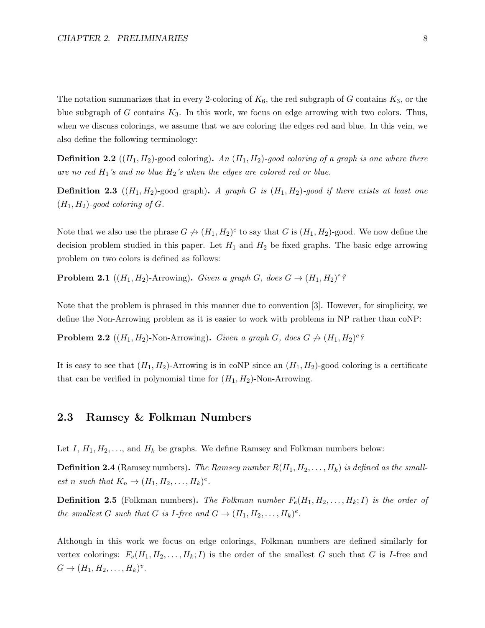The notation summarizes that in every 2-coloring of  $K_6$ , the red subgraph of G contains  $K_3$ , or the blue subgraph of G contains  $K_3$ . In this work, we focus on edge arrowing with two colors. Thus, when we discuss colorings, we assume that we are coloring the edges red and blue. In this vein, we also define the following terminology:

**Definition 2.2**  $((H_1, H_2)$ -good coloring). An  $(H_1, H_2)$ -good coloring of a graph is one where there are no red  $H_1$ 's and no blue  $H_2$ 's when the edges are colored red or blue.

**Definition 2.3** ( $(H_1, H_2)$ -good graph). A graph G is  $(H_1, H_2)$ -good if there exists at least one  $(H_1, H_2)$ -good coloring of G.

Note that we also use the phrase  $G \nrightarrow (H_1, H_2)^e$  to say that G is  $(H_1, H_2)$ -good. We now define the decision problem studied in this paper. Let  $H_1$  and  $H_2$  be fixed graphs. The basic edge arrowing problem on two colors is defined as follows:

**Problem 2.1** ( $(H_1, H_2)$ -Arrowing). Given a graph G, does  $G \rightarrow (H_1, H_2)^e$ ?

Note that the problem is phrased in this manner due to convention [3]. However, for simplicity, we define the Non-Arrowing problem as it is easier to work with problems in NP rather than coNP:

**Problem 2.2**  $((H_1, H_2)$ -Non-Arrowing). Given a graph G, does  $G \nrightarrow (H_1, H_2)^e$ ?

It is easy to see that  $(H_1, H_2)$ -Arrowing is in coNP since an  $(H_1, H_2)$ -good coloring is a certificate that can be verified in polynomial time for  $(H_1, H_2)$ -Non-Arrowing.

#### 2.3 Ramsey & Folkman Numbers

Let I,  $H_1, H_2, \ldots$ , and  $H_k$  be graphs. We define Ramsey and Folkman numbers below:

**Definition 2.4** (Ramsey numbers). The Ramsey number  $R(H_1, H_2, \ldots, H_k)$  is defined as the smallest n such that  $K_n \to (H_1, H_2, \ldots, H_k)^e$ .

**Definition 2.5** (Folkman numbers). The Folkman number  $F_e(H_1, H_2, \ldots, H_k; I)$  is the order of the smallest G such that G is I-free and  $G \to (H_1, H_2, \ldots, H_k)^e$ .

Although in this work we focus on edge colorings, Folkman numbers are defined similarly for vertex colorings:  $F_v(H_1, H_2, \ldots, H_k; I)$  is the order of the smallest G such that G is I-free and  $G \rightarrow (H_1, H_2, \ldots, H_k)^v.$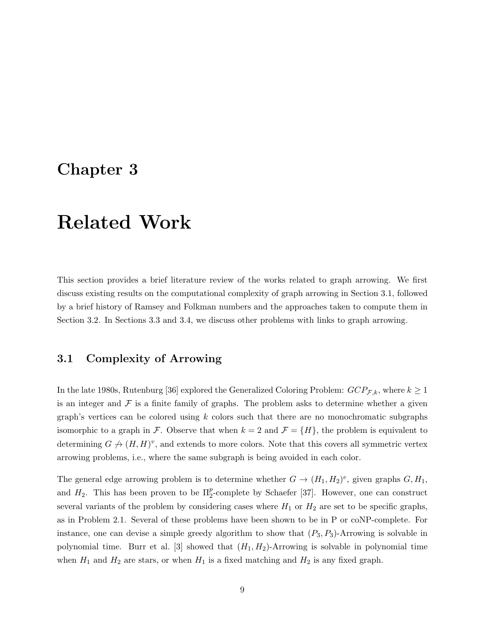# Chapter 3

# Related Work

This section provides a brief literature review of the works related to graph arrowing. We first discuss existing results on the computational complexity of graph arrowing in Section 3.1, followed by a brief history of Ramsey and Folkman numbers and the approaches taken to compute them in Section 3.2. In Sections 3.3 and 3.4, we discuss other problems with links to graph arrowing.

## 3.1 Complexity of Arrowing

In the late 1980s, Rutenburg [36] explored the Generalized Coloring Problem:  $GCP_{\mathcal{F},k}$ , where  $k \geq 1$ is an integer and  $\mathcal F$  is a finite family of graphs. The problem asks to determine whether a given graph's vertices can be colored using  $k$  colors such that there are no monochromatic subgraphs isomorphic to a graph in F. Observe that when  $k = 2$  and  $\mathcal{F} = \{H\}$ , the problem is equivalent to determining  $G \nrightarrow (H, H)^v$ , and extends to more colors. Note that this covers all symmetric vertex arrowing problems, i.e., where the same subgraph is being avoided in each color.

The general edge arrowing problem is to determine whether  $G \to (H_1, H_2)^e$ , given graphs  $G, H_1$ , and  $H_2$ . This has been proven to be  $\Pi_2^p$ -complete by Schaefer [37]. However, one can construct several variants of the problem by considering cases where  $H_1$  or  $H_2$  are set to be specific graphs, as in Problem 2.1. Several of these problems have been shown to be in P or coNP-complete. For instance, one can devise a simple greedy algorithm to show that  $(P_3, P_3)$ -Arrowing is solvable in polynomial time. Burr et al. [3] showed that  $(H_1, H_2)$ -Arrowing is solvable in polynomial time when  $H_1$  and  $H_2$  are stars, or when  $H_1$  is a fixed matching and  $H_2$  is any fixed graph.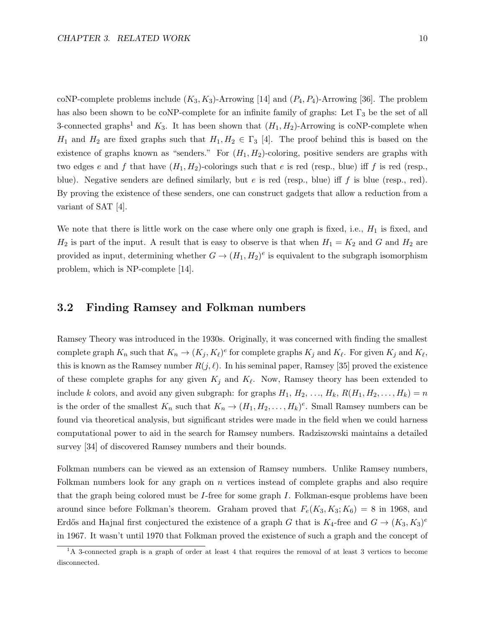coNP-complete problems include  $(K_3, K_3)$ -Arrowing [14] and  $(P_4, P_4)$ -Arrowing [36]. The problem has also been shown to be coNP-complete for an infinite family of graphs: Let  $\Gamma_3$  be the set of all 3-connected graphs<sup>1</sup> and  $K_3$ . It has been shown that  $(H_1, H_2)$ -Arrowing is coNP-complete when  $H_1$  and  $H_2$  are fixed graphs such that  $H_1, H_2 \in \Gamma_3$  [4]. The proof behind this is based on the existence of graphs known as "senders." For  $(H_1, H_2)$ -coloring, positive senders are graphs with two edges e and f that have  $(H_1, H_2)$ -colorings such that e is red (resp., blue) iff f is red (resp., blue). Negative senders are defined similarly, but  $e$  is red (resp., blue) iff  $f$  is blue (resp., red). By proving the existence of these senders, one can construct gadgets that allow a reduction from a variant of SAT [4].

We note that there is little work on the case where only one graph is fixed, i.e.,  $H_1$  is fixed, and  $H_2$  is part of the input. A result that is easy to observe is that when  $H_1 = K_2$  and G and  $H_2$  are provided as input, determining whether  $G \to (H_1, H_2)^e$  is equivalent to the subgraph isomorphism problem, which is NP-complete [14].

### 3.2 Finding Ramsey and Folkman numbers

Ramsey Theory was introduced in the 1930s. Originally, it was concerned with finding the smallest complete graph  $K_n$  such that  $K_n \to (K_j, K_\ell)^e$  for complete graphs  $K_j$  and  $K_\ell$ . For given  $K_j$  and  $K_\ell$ , this is known as the Ramsey number  $R(j, \ell)$ . In his seminal paper, Ramsey [35] proved the existence of these complete graphs for any given  $K_j$  and  $K_\ell$ . Now, Ramsey theory has been extended to include k colors, and avoid any given subgraph: for graphs  $H_1, H_2, \ldots, H_k, R(H_1, H_2, \ldots, H_k) = n$ is the order of the smallest  $K_n$  such that  $K_n \to (H_1, H_2, \ldots, H_k)^e$ . Small Ramsey numbers can be found via theoretical analysis, but significant strides were made in the field when we could harness computational power to aid in the search for Ramsey numbers. Radziszowski maintains a detailed survey [34] of discovered Ramsey numbers and their bounds.

Folkman numbers can be viewed as an extension of Ramsey numbers. Unlike Ramsey numbers, Folkman numbers look for any graph on n vertices instead of complete graphs and also require that the graph being colored must be I-free for some graph  $I$ . Folkman-esque problems have been around since before Folkman's theorem. Graham proved that  $F_e(K_3, K_3; K_6) = 8$  in 1968, and Erdős and Hajnal first conjectured the existence of a graph G that is  $K_4$ -free and  $G \to (K_3, K_3)^e$ in 1967. It wasn't until 1970 that Folkman proved the existence of such a graph and the concept of

 $1<sup>1</sup>A$  3-connected graph is a graph of order at least 4 that requires the removal of at least 3 vertices to become disconnected.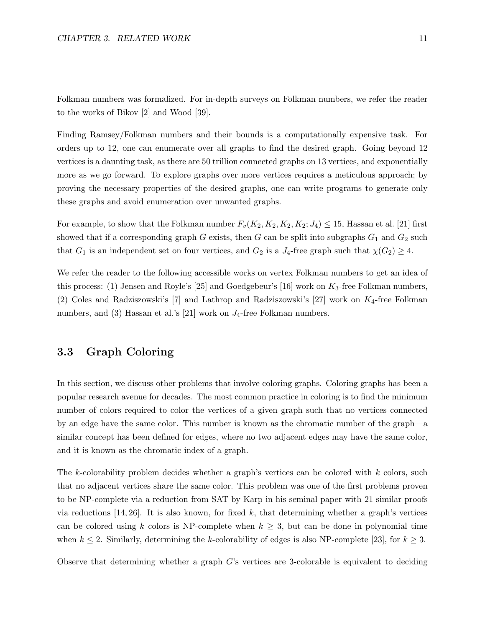Folkman numbers was formalized. For in-depth surveys on Folkman numbers, we refer the reader to the works of Bikov [2] and Wood [39].

Finding Ramsey/Folkman numbers and their bounds is a computationally expensive task. For orders up to 12, one can enumerate over all graphs to find the desired graph. Going beyond 12 vertices is a daunting task, as there are 50 trillion connected graphs on 13 vertices, and exponentially more as we go forward. To explore graphs over more vertices requires a meticulous approach; by proving the necessary properties of the desired graphs, one can write programs to generate only these graphs and avoid enumeration over unwanted graphs.

For example, to show that the Folkman number  $F_v(K_2, K_2, K_2, K_2; J_4) \leq 15$ , Hassan et al. [21] first showed that if a corresponding graph  $G$  exists, then  $G$  can be split into subgraphs  $G_1$  and  $G_2$  such that  $G_1$  is an independent set on four vertices, and  $G_2$  is a  $J_4$ -free graph such that  $\chi(G_2) \geq 4$ .

We refer the reader to the following accessible works on vertex Folkman numbers to get an idea of this process: (1) Jensen and Royle's [25] and Goedgebeur's [16] work on  $K_3$ -free Folkman numbers, (2) Coles and Radziszowski's [7] and Lathrop and Radziszowski's [27] work on  $K_4$ -free Folkman numbers, and (3) Hassan et al.'s [21] work on  $J_4$ -free Folkman numbers.

### 3.3 Graph Coloring

In this section, we discuss other problems that involve coloring graphs. Coloring graphs has been a popular research avenue for decades. The most common practice in coloring is to find the minimum number of colors required to color the vertices of a given graph such that no vertices connected by an edge have the same color. This number is known as the chromatic number of the graph—a similar concept has been defined for edges, where no two adjacent edges may have the same color, and it is known as the chromatic index of a graph.

The k-colorability problem decides whether a graph's vertices can be colored with  $k$  colors, such that no adjacent vertices share the same color. This problem was one of the first problems proven to be NP-complete via a reduction from SAT by Karp in his seminal paper with 21 similar proofs via reductions  $[14, 26]$ . It is also known, for fixed k, that determining whether a graph's vertices can be colored using k colors is NP-complete when  $k \geq 3$ , but can be done in polynomial time when  $k \leq 2$ . Similarly, determining the k-colorability of edges is also NP-complete [23], for  $k \geq 3$ .

Observe that determining whether a graph  $G$ 's vertices are 3-colorable is equivalent to deciding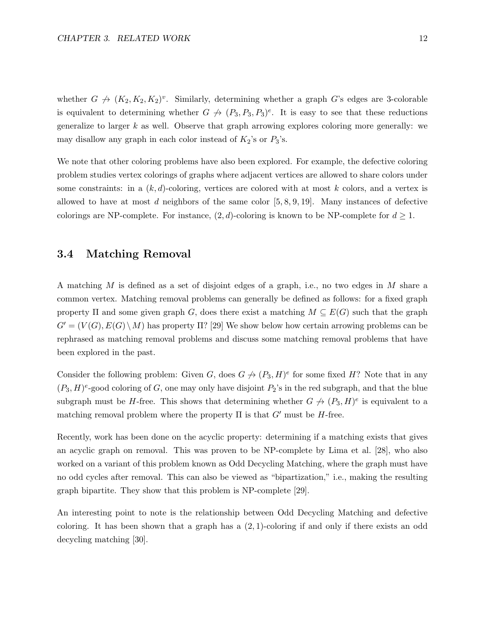whether  $G \nrightarrow (K_2, K_2, K_2)^v$ . Similarly, determining whether a graph G's edges are 3-colorable is equivalent to determining whether  $G \nrightarrow (P_3, P_3, P_3)^e$ . It is easy to see that these reductions generalize to larger  $k$  as well. Observe that graph arrowing explores coloring more generally: we may disallow any graph in each color instead of  $K_2$ 's or  $P_3$ 's.

We note that other coloring problems have also been explored. For example, the defective coloring problem studies vertex colorings of graphs where adjacent vertices are allowed to share colors under some constraints: in a  $(k, d)$ -coloring, vertices are colored with at most k colors, and a vertex is allowed to have at most d neighbors of the same color  $[5, 8, 9, 19]$ . Many instances of defective colorings are NP-complete. For instance,  $(2, d)$ -coloring is known to be NP-complete for  $d \geq 1$ .

## 3.4 Matching Removal

A matching M is defined as a set of disjoint edges of a graph, i.e., no two edges in M share a common vertex. Matching removal problems can generally be defined as follows: for a fixed graph property  $\Pi$  and some given graph G, does there exist a matching  $M \subseteq E(G)$  such that the graph  $G' = (V(G), E(G) \setminus M)$  has property  $\Pi$ ? [29] We show below how certain arrowing problems can be rephrased as matching removal problems and discuss some matching removal problems that have been explored in the past.

Consider the following problem: Given G, does  $G \nrightarrow (P_3, H)^e$  for some fixed H? Note that in any  $(P_3, H)^e$ -good coloring of G, one may only have disjoint  $P_2$ 's in the red subgraph, and that the blue subgraph must be H-free. This shows that determining whether  $G \nrightarrow (P_3, H)^e$  is equivalent to a matching removal problem where the property  $\Pi$  is that  $G'$  must be H-free.

Recently, work has been done on the acyclic property: determining if a matching exists that gives an acyclic graph on removal. This was proven to be NP-complete by Lima et al. [28], who also worked on a variant of this problem known as Odd Decycling Matching, where the graph must have no odd cycles after removal. This can also be viewed as "bipartization," i.e., making the resulting graph bipartite. They show that this problem is NP-complete [29].

An interesting point to note is the relationship between Odd Decycling Matching and defective coloring. It has been shown that a graph has a  $(2, 1)$ -coloring if and only if there exists an odd decycling matching [30].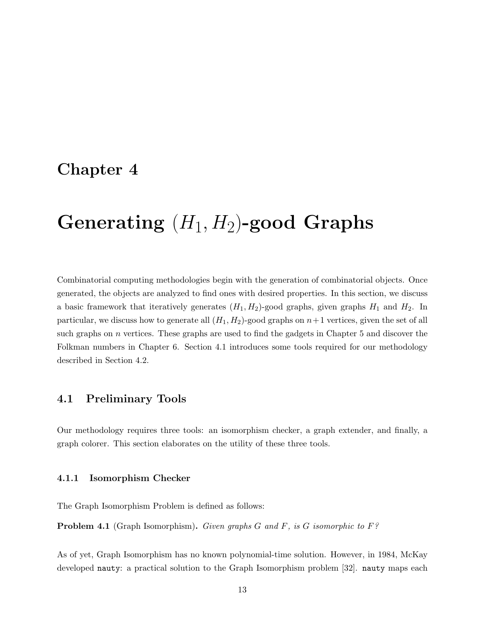# Chapter 4

# Generating  $(H_1, H_2)$ -good Graphs

Combinatorial computing methodologies begin with the generation of combinatorial objects. Once generated, the objects are analyzed to find ones with desired properties. In this section, we discuss a basic framework that iteratively generates  $(H_1, H_2)$ -good graphs, given graphs  $H_1$  and  $H_2$ . In particular, we discuss how to generate all  $(H_1, H_2)$ -good graphs on  $n+1$  vertices, given the set of all such graphs on  $n$  vertices. These graphs are used to find the gadgets in Chapter 5 and discover the Folkman numbers in Chapter 6. Section 4.1 introduces some tools required for our methodology described in Section 4.2.

### 4.1 Preliminary Tools

Our methodology requires three tools: an isomorphism checker, a graph extender, and finally, a graph colorer. This section elaborates on the utility of these three tools.

#### 4.1.1 Isomorphism Checker

The Graph Isomorphism Problem is defined as follows:

**Problem 4.1** (Graph Isomorphism). Given graphs G and F, is G isomorphic to  $F$ ?

As of yet, Graph Isomorphism has no known polynomial-time solution. However, in 1984, McKay developed nauty: a practical solution to the Graph Isomorphism problem [32]. nauty maps each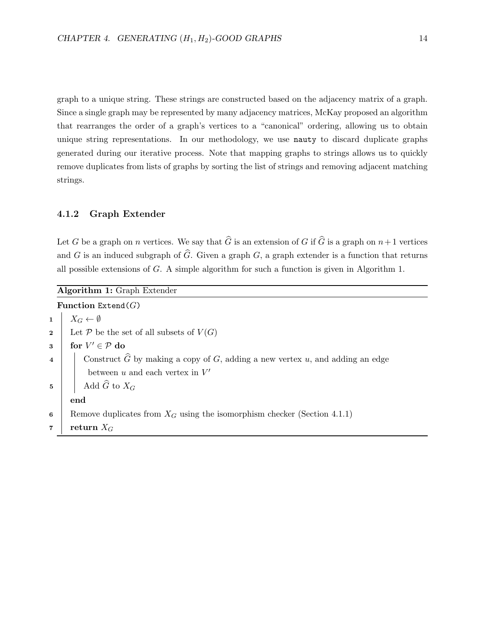graph to a unique string. These strings are constructed based on the adjacency matrix of a graph. Since a single graph may be represented by many adjacency matrices, McKay proposed an algorithm that rearranges the order of a graph's vertices to a "canonical" ordering, allowing us to obtain unique string representations. In our methodology, we use nauty to discard duplicate graphs generated during our iterative process. Note that mapping graphs to strings allows us to quickly remove duplicates from lists of graphs by sorting the list of strings and removing adjacent matching strings.

### 4.1.2 Graph Extender

Let G be a graph on n vertices. We say that  $\widehat{G}$  is an extension of G if  $\widehat{G}$  is a graph on  $n+1$  vertices and G is an induced subgraph of  $\widehat{G}$ . Given a graph  $G$ , a graph extender is a function that returns all possible extensions of G. A simple algorithm for such a function is given in Algorithm 1.

|                         | Algorithm 1: Graph Extender                                                              |  |  |  |  |  |  |  |  |  |
|-------------------------|------------------------------------------------------------------------------------------|--|--|--|--|--|--|--|--|--|
|                         | Function Extend( $G$ )                                                                   |  |  |  |  |  |  |  |  |  |
| $\mathbf{1}$            | $X_G \leftarrow \emptyset$                                                               |  |  |  |  |  |  |  |  |  |
| $\bf{2}$                | Let P be the set of all subsets of $V(G)$                                                |  |  |  |  |  |  |  |  |  |
| $\bf{3}$                | for $V' \in \mathcal{P}$ do                                                              |  |  |  |  |  |  |  |  |  |
| $\overline{\mathbf{4}}$ | Construct $\widehat{G}$ by making a copy of G, adding a new vertex u, and adding an edge |  |  |  |  |  |  |  |  |  |
|                         | between $u$ and each vertex in $V'$                                                      |  |  |  |  |  |  |  |  |  |
| 5                       | Add $\widehat{G}$ to $X_G$                                                               |  |  |  |  |  |  |  |  |  |
|                         | end                                                                                      |  |  |  |  |  |  |  |  |  |
| 6                       | Remove duplicates from $X_G$ using the isomorphism checker (Section 4.1.1)               |  |  |  |  |  |  |  |  |  |
| $\overline{7}$          | return $X_G$                                                                             |  |  |  |  |  |  |  |  |  |
|                         |                                                                                          |  |  |  |  |  |  |  |  |  |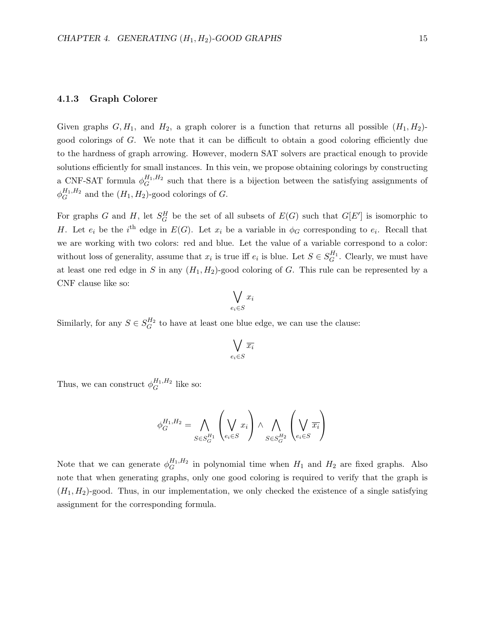#### 4.1.3 Graph Colorer

Given graphs  $G, H_1$ , and  $H_2$ , a graph colorer is a function that returns all possible  $(H_1, H_2)$ good colorings of G. We note that it can be difficult to obtain a good coloring efficiently due to the hardness of graph arrowing. However, modern SAT solvers are practical enough to provide solutions efficiently for small instances. In this vein, we propose obtaining colorings by constructing a CNF-SAT formula  $\phi_G^{H_1,H_2}$  $G<sup>H<sub>1</sub>,H<sub>2</sub></sup>$  such that there is a bijection between the satisfying assignments of  $\phi_G^{H_1,H_2}$  $G^{H_1,H_2}$  and the  $(H_1,H_2)$ -good colorings of G.

For graphs G and H, let  $S_G^H$  be the set of all subsets of  $E(G)$  such that  $G[E']$  is isomorphic to H. Let  $e_i$  be the i<sup>th</sup> edge in  $E(G)$ . Let  $x_i$  be a variable in  $\phi_G$  corresponding to  $e_i$ . Recall that we are working with two colors: red and blue. Let the value of a variable correspond to a color: without loss of generality, assume that  $x_i$  is true iff  $e_i$  is blue. Let  $S \in S_G^{H_1}$ . Clearly, we must have at least one red edge in S in any  $(H_1, H_2)$ -good coloring of G. This rule can be represented by a CNF clause like so:

$$
\bigvee_{e_i \in S} x_i
$$

Similarly, for any  $S \in S_G^{H_2}$  to have at least one blue edge, we can use the clause:

$$
\bigvee_{e_i \in S} \overline{x_i}
$$

Thus, we can construct  $\phi_G^{H_1,H_2}$  $G^{H_1,H_2}$  like so:

$$
\phi_G^{H_1, H_2} = \bigwedge_{S \in S_G^{H_1}} \left( \bigvee_{e_i \in S} x_i \right) \wedge \bigwedge_{S \in S_G^{H_2}} \left( \bigvee_{e_i \in S} \overline{x_i} \right)
$$

Note that we can generate  $\phi_G^{H_1,H_2}$  $G<sup>H_1,H_2</sup>$  in polynomial time when  $H_1$  and  $H_2$  are fixed graphs. Also note that when generating graphs, only one good coloring is required to verify that the graph is  $(H_1, H_2)$ -good. Thus, in our implementation, we only checked the existence of a single satisfying assignment for the corresponding formula.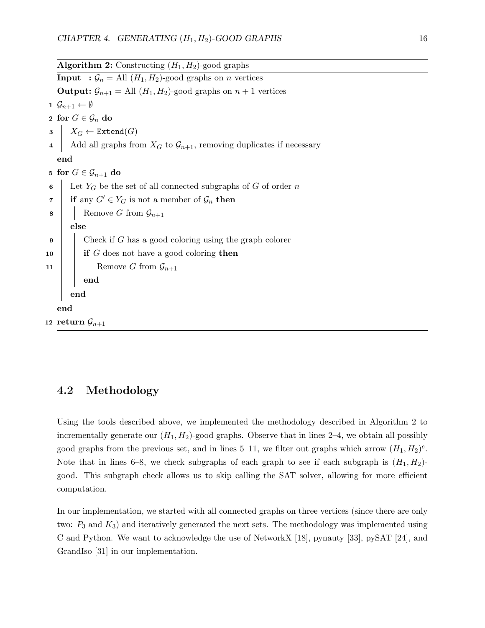|    | <b>Algorithm 2:</b> Constructing $(H_1, H_2)$ -good graphs                           |  |  |  |  |  |  |  |  |  |
|----|--------------------------------------------------------------------------------------|--|--|--|--|--|--|--|--|--|
|    | <b>Input</b> : $\mathcal{G}_n =$ All $(H_1, H_2)$ -good graphs on <i>n</i> vertices  |  |  |  |  |  |  |  |  |  |
|    | <b>Output:</b> $\mathcal{G}_{n+1} =$ All $(H_1, H_2)$ -good graphs on $n+1$ vertices |  |  |  |  |  |  |  |  |  |
|    | $1 \mathcal{G}_{n+1} \leftarrow \emptyset$                                           |  |  |  |  |  |  |  |  |  |
|    | 2 for $G \in \mathcal{G}_n$ do                                                       |  |  |  |  |  |  |  |  |  |
|    | $\mid X_G \leftarrow \texttt{Extend}(G)$                                             |  |  |  |  |  |  |  |  |  |
|    | Add all graphs from $X_G$ to $\mathcal{G}_{n+1}$ , removing duplicates if necessary  |  |  |  |  |  |  |  |  |  |
|    | end                                                                                  |  |  |  |  |  |  |  |  |  |
|    | 5 for $G \in \mathcal{G}_{n+1}$ do                                                   |  |  |  |  |  |  |  |  |  |
| 6  | Let $Y_G$ be the set of all connected subgraphs of G of order n                      |  |  |  |  |  |  |  |  |  |
| 7  | if any $G' \in Y_G$ is not a member of $\mathcal{G}_n$ then                          |  |  |  |  |  |  |  |  |  |
| 8  | Remove G from $\mathcal{G}_{n+1}$                                                    |  |  |  |  |  |  |  |  |  |
|    | else                                                                                 |  |  |  |  |  |  |  |  |  |
| 9  | Check if $G$ has a good coloring using the graph colorer                             |  |  |  |  |  |  |  |  |  |
| 10 | if $G$ does not have a good coloring then                                            |  |  |  |  |  |  |  |  |  |
| 11 | Remove G from $\mathcal{G}_{n+1}$                                                    |  |  |  |  |  |  |  |  |  |
|    | end                                                                                  |  |  |  |  |  |  |  |  |  |
|    | end                                                                                  |  |  |  |  |  |  |  |  |  |
|    | end                                                                                  |  |  |  |  |  |  |  |  |  |
|    | 12 return $\mathcal{G}_{n+1}$                                                        |  |  |  |  |  |  |  |  |  |

## 4.2 Methodology

Using the tools described above, we implemented the methodology described in Algorithm 2 to incrementally generate our  $(H_1, H_2)$ -good graphs. Observe that in lines 2–4, we obtain all possibly good graphs from the previous set, and in lines 5–11, we filter out graphs which arrow  $(H_1, H_2)^e$ . Note that in lines 6–8, we check subgraphs of each graph to see if each subgraph is  $(H_1, H_2)$ good. This subgraph check allows us to skip calling the SAT solver, allowing for more efficient computation.

In our implementation, we started with all connected graphs on three vertices (since there are only two:  $P_3$  and  $K_3$ ) and iteratively generated the next sets. The methodology was implemented using C and Python. We want to acknowledge the use of NetworkX [18], pynauty [33], pySAT [24], and GrandIso [31] in our implementation.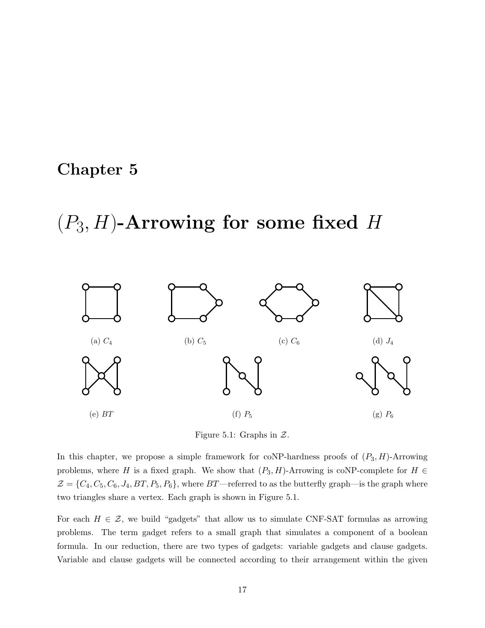# Chapter 5

# $(P_3, H)$ -Arrowing for some fixed H



Figure 5.1: Graphs in  $\mathcal{Z}$ .

In this chapter, we propose a simple framework for coNP-hardness proofs of  $(P_3, H)$ -Arrowing problems, where H is a fixed graph. We show that  $(P_3, H)$ -Arrowing is coNP-complete for  $H \in$  $\mathcal{Z} = \{C_4, C_5, C_6, J_4, BT, P_5, P_6\}$ , where  $BT$ —referred to as the butterfly graph—is the graph where two triangles share a vertex. Each graph is shown in Figure 5.1.

For each  $H \in \mathcal{Z}$ , we build "gadgets" that allow us to simulate CNF-SAT formulas as arrowing problems. The term gadget refers to a small graph that simulates a component of a boolean formula. In our reduction, there are two types of gadgets: variable gadgets and clause gadgets. Variable and clause gadgets will be connected according to their arrangement within the given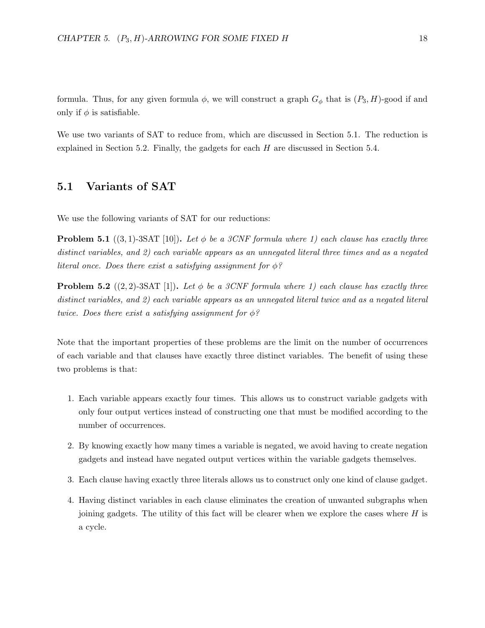formula. Thus, for any given formula  $\phi$ , we will construct a graph  $G_{\phi}$  that is  $(P_3, H)$ -good if and only if  $\phi$  is satisfiable.

We use two variants of SAT to reduce from, which are discussed in Section 5.1. The reduction is explained in Section 5.2. Finally, the gadgets for each  $H$  are discussed in Section 5.4.

## 5.1 Variants of SAT

We use the following variants of SAT for our reductions:

**Problem 5.1** ((3, 1)-3SAT [10]). Let  $\phi$  be a 3CNF formula where 1) each clause has exactly three distinct variables, and 2) each variable appears as an unnegated literal three times and as a negated literal once. Does there exist a satisfying assignment for  $\phi$ ?

**Problem 5.2** ((2, 2)-3SAT [1]). Let  $\phi$  be a 3CNF formula where 1) each clause has exactly three distinct variables, and 2) each variable appears as an unnegated literal twice and as a negated literal twice. Does there exist a satisfying assignment for  $\phi$ ?

Note that the important properties of these problems are the limit on the number of occurrences of each variable and that clauses have exactly three distinct variables. The benefit of using these two problems is that:

- 1. Each variable appears exactly four times. This allows us to construct variable gadgets with only four output vertices instead of constructing one that must be modified according to the number of occurrences.
- 2. By knowing exactly how many times a variable is negated, we avoid having to create negation gadgets and instead have negated output vertices within the variable gadgets themselves.
- 3. Each clause having exactly three literals allows us to construct only one kind of clause gadget.
- 4. Having distinct variables in each clause eliminates the creation of unwanted subgraphs when joining gadgets. The utility of this fact will be clearer when we explore the cases where  $H$  is a cycle.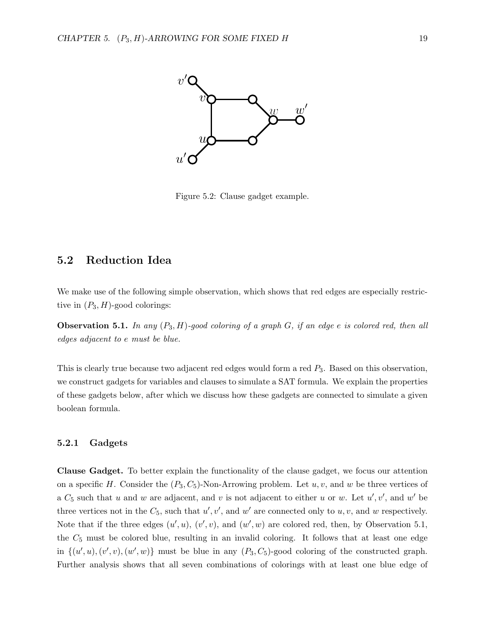

Figure 5.2: Clause gadget example.

## 5.2 Reduction Idea

We make use of the following simple observation, which shows that red edges are especially restrictive in  $(P_3, H)$ -good colorings:

**Observation 5.1.** In any  $(P_3, H)$ -good coloring of a graph G, if an edge e is colored red, then all edges adjacent to e must be blue.

This is clearly true because two adjacent red edges would form a red  $P_3$ . Based on this observation, we construct gadgets for variables and clauses to simulate a SAT formula. We explain the properties of these gadgets below, after which we discuss how these gadgets are connected to simulate a given boolean formula.

#### 5.2.1 Gadgets

Clause Gadget. To better explain the functionality of the clause gadget, we focus our attention on a specific H. Consider the  $(P_3, C_5)$ -Non-Arrowing problem. Let  $u, v$ , and w be three vertices of a  $C_5$  such that u and w are adjacent, and v is not adjacent to either u or w. Let  $u', v'$ , and w' be three vertices not in the  $C_5$ , such that  $u', v'$ , and  $w'$  are connected only to  $u, v$ , and  $w$  respectively. Note that if the three edges  $(u', u)$ ,  $(v', v)$ , and  $(w', w)$  are colored red, then, by Observation 5.1, the  $C_5$  must be colored blue, resulting in an invalid coloring. It follows that at least one edge in  $\{(u', u), (v', v), (w', w)\}\)$  must be blue in any  $(P_3, C_5)$ -good coloring of the constructed graph. Further analysis shows that all seven combinations of colorings with at least one blue edge of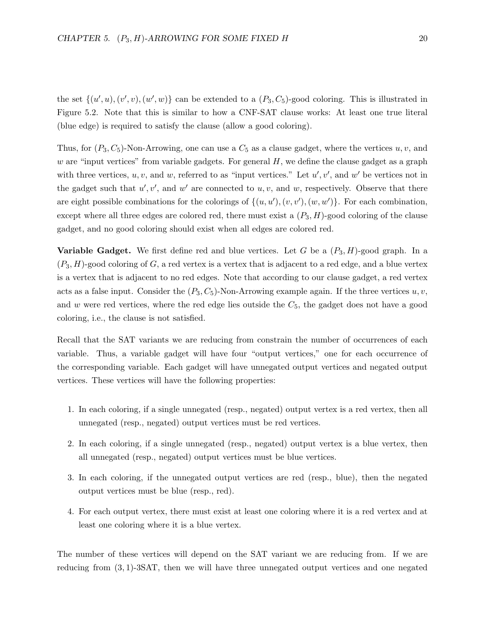the set  $\{(u', u), (v', v), (w', w)\}\)$  can be extended to a  $(P_3, C_5)$ -good coloring. This is illustrated in Figure 5.2. Note that this is similar to how a CNF-SAT clause works: At least one true literal (blue edge) is required to satisfy the clause (allow a good coloring).

Thus, for  $(P_3, C_5)$ -Non-Arrowing, one can use a  $C_5$  as a clause gadget, where the vertices  $u, v$ , and w are "input vertices" from variable gadgets. For general  $H$ , we define the clause gadget as a graph with three vertices,  $u, v$ , and  $w$ , referred to as "input vertices." Let  $u', v'$ , and  $w'$  be vertices not in the gadget such that  $u', v'$ , and  $w'$  are connected to  $u, v$ , and  $w$ , respectively. Observe that there are eight possible combinations for the colorings of  $\{(u, u'), (v, v'), (w, w')\}$ . For each combination, except where all three edges are colored red, there must exist a  $(P_3, H)$ -good coloring of the clause gadget, and no good coloring should exist when all edges are colored red.

**Variable Gadget.** We first define red and blue vertices. Let G be a  $(P_3, H)$ -good graph. In a  $(P_3, H)$ -good coloring of G, a red vertex is a vertex that is adjacent to a red edge, and a blue vertex is a vertex that is adjacent to no red edges. Note that according to our clause gadget, a red vertex acts as a false input. Consider the  $(P_3, C_5)$ -Non-Arrowing example again. If the three vertices  $u, v$ , and  $w$  were red vertices, where the red edge lies outside the  $C_5$ , the gadget does not have a good coloring, i.e., the clause is not satisfied.

Recall that the SAT variants we are reducing from constrain the number of occurrences of each variable. Thus, a variable gadget will have four "output vertices," one for each occurrence of the corresponding variable. Each gadget will have unnegated output vertices and negated output vertices. These vertices will have the following properties:

- 1. In each coloring, if a single unnegated (resp., negated) output vertex is a red vertex, then all unnegated (resp., negated) output vertices must be red vertices.
- 2. In each coloring, if a single unnegated (resp., negated) output vertex is a blue vertex, then all unnegated (resp., negated) output vertices must be blue vertices.
- 3. In each coloring, if the unnegated output vertices are red (resp., blue), then the negated output vertices must be blue (resp., red).
- 4. For each output vertex, there must exist at least one coloring where it is a red vertex and at least one coloring where it is a blue vertex.

The number of these vertices will depend on the SAT variant we are reducing from. If we are reducing from (3, 1)-3SAT, then we will have three unnegated output vertices and one negated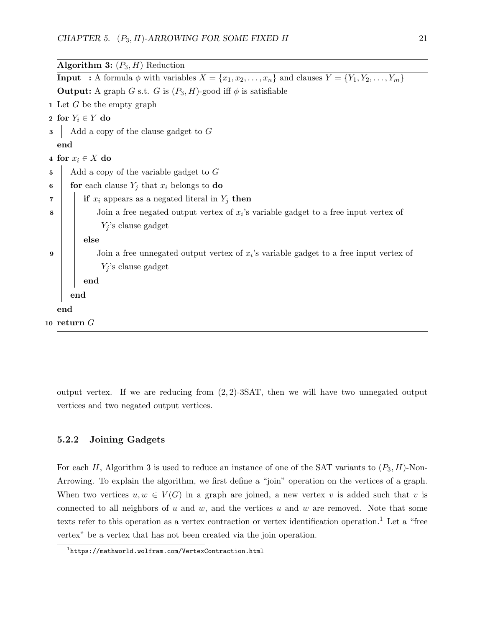Algorithm 3:  $(P_3, H)$  Reduction **Input** : A formula  $\phi$  with variables  $X = \{x_1, x_2, \ldots, x_n\}$  and clauses  $Y = \{Y_1, Y_2, \ldots, Y_m\}$ **Output:** A graph G s.t. G is  $(P_3, H)$ -good iff  $\phi$  is satisfiable 1 Let  $G$  be the empty graph 2 for  $Y_i \in Y$  do  $\mathbf{3}$  Add a copy of the clause gadget to G end 4 for  $x_i \in X$  do  $\mathbf{5}$  | Add a copy of the variable gadget to G 6 for each clause  $Y_i$  that  $x_i$  belongs to do 7 | if  $x_i$  appears as a negated literal in  $Y_i$  then  $\mathbf{8}$  | | Join a free negated output vertex of  $x_i$ 's variable gadget to a free input vertex of  $Y_j$ 's clause gadget else  $9 \mid \cdot$  Join a free unnegated output vertex of  $x_i$ 's variable gadget to a free input vertex of  $Y_j$  's clause gadget end end end 10 return  $G$ 

output vertex. If we are reducing from  $(2, 2)$ -3SAT, then we will have two unnegated output vertices and two negated output vertices.

### 5.2.2 Joining Gadgets

For each H, Algorithm 3 is used to reduce an instance of one of the SAT variants to  $(P_3, H)$ -Non-Arrowing. To explain the algorithm, we first define a "join" operation on the vertices of a graph. When two vertices  $u, w \in V(G)$  in a graph are joined, a new vertex v is added such that v is connected to all neighbors of  $u$  and  $w$ , and the vertices  $u$  and  $w$  are removed. Note that some texts refer to this operation as a vertex contraction or vertex identification operation.<sup>1</sup> Let a "free vertex" be a vertex that has not been created via the join operation.

 $1$ https://mathworld.wolfram.com/VertexContraction.html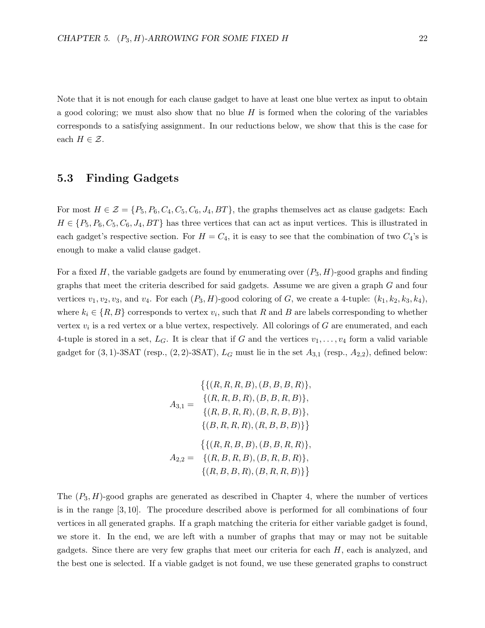Note that it is not enough for each clause gadget to have at least one blue vertex as input to obtain a good coloring; we must also show that no blue  $H$  is formed when the coloring of the variables corresponds to a satisfying assignment. In our reductions below, we show that this is the case for each  $H \in \mathcal{Z}$ .

## 5.3 Finding Gadgets

For most  $H \in \mathcal{Z} = \{P_5, P_6, C_4, C_5, C_6, J_4, BT\}$ , the graphs themselves act as clause gadgets: Each  $H \in \{P_5, P_6, C_5, C_6, J_4, BT\}$  has three vertices that can act as input vertices. This is illustrated in each gadget's respective section. For  $H = C_4$ , it is easy to see that the combination of two  $C_4$ 's is enough to make a valid clause gadget.

For a fixed H, the variable gadgets are found by enumerating over  $(P_3, H)$ -good graphs and finding graphs that meet the criteria described for said gadgets. Assume we are given a graph G and four vertices  $v_1, v_2, v_3$ , and  $v_4$ . For each  $(P_3, H)$ -good coloring of G, we create a 4-tuple:  $(k_1, k_2, k_3, k_4)$ , where  $k_i \in \{R, B\}$  corresponds to vertex  $v_i$ , such that R and B are labels corresponding to whether vertex  $v_i$  is a red vertex or a blue vertex, respectively. All colorings of G are enumerated, and each 4-tuple is stored in a set,  $L_G$ . It is clear that if G and the vertices  $v_1, \ldots, v_4$  form a valid variable gadget for  $(3, 1)$ -3SAT (resp.,  $(2, 2)$ -3SAT),  $L_G$  must lie in the set  $A_{3,1}$  (resp.,  $A_{2,2}$ ), defined below:

$$
\{\{(R, R, R, B), (B, B, B, R)\},\nA_{3,1} = \{(R, R, B, R), (B, B, R, B)\},\n\{(R, B, R, R), (B, R, B, B)\},\n\{(B, R, R, R), (R, B, B, B)\}\}\n\n
$$
\{\{(R, R, B, B), (B, B, R, R)\},\nA_{2,2} = \{(R, B, R, B), (B, R, B, R)\},\n\{(R, B, B, R), (B, R, R, B)\}\}
$$
$$

The  $(P_3, H)$ -good graphs are generated as described in Chapter 4, where the number of vertices is in the range [3, 10]. The procedure described above is performed for all combinations of four vertices in all generated graphs. If a graph matching the criteria for either variable gadget is found, we store it. In the end, we are left with a number of graphs that may or may not be suitable gadgets. Since there are very few graphs that meet our criteria for each  $H$ , each is analyzed, and the best one is selected. If a viable gadget is not found, we use these generated graphs to construct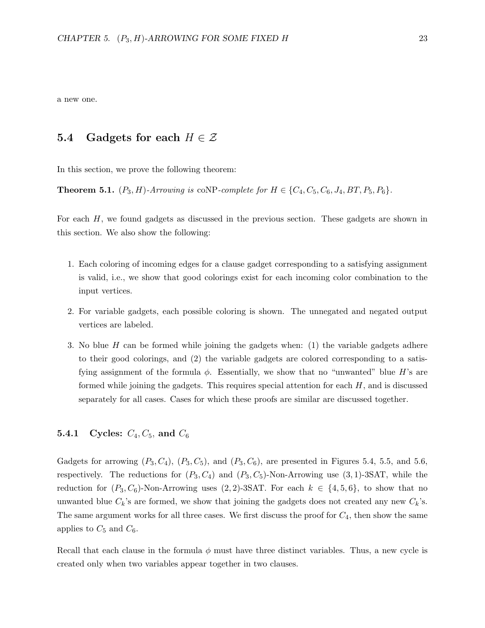a new one.

### 5.4 Gadgets for each  $H \in \mathcal{Z}$

In this section, we prove the following theorem:

**Theorem 5.1.**  $(P_3, H)$ -Arrowing is coNP-complete for  $H \in \{C_4, C_5, C_6, J_4, BT, P_5, P_6\}$ .

For each H, we found gadgets as discussed in the previous section. These gadgets are shown in this section. We also show the following:

- 1. Each coloring of incoming edges for a clause gadget corresponding to a satisfying assignment is valid, i.e., we show that good colorings exist for each incoming color combination to the input vertices.
- 2. For variable gadgets, each possible coloring is shown. The unnegated and negated output vertices are labeled.
- 3. No blue H can be formed while joining the gadgets when: (1) the variable gadgets adhere to their good colorings, and (2) the variable gadgets are colored corresponding to a satisfying assignment of the formula  $\phi$ . Essentially, we show that no "unwanted" blue H's are formed while joining the gadgets. This requires special attention for each  $H$ , and is discussed separately for all cases. Cases for which these proofs are similar are discussed together.

#### **5.4.1** Cycles:  $C_4, C_5$ , and  $C_6$

Gadgets for arrowing  $(P_3, C_4)$ ,  $(P_3, C_5)$ , and  $(P_3, C_6)$ , are presented in Figures 5.4, 5.5, and 5.6, respectively. The reductions for  $(P_3, C_4)$  and  $(P_3, C_5)$ -Non-Arrowing use  $(3, 1)$ -3SAT, while the reduction for  $(P_3, C_6)$ -Non-Arrowing uses  $(2, 2)$ -3SAT. For each  $k \in \{4, 5, 6\}$ , to show that no unwanted blue  $C_k$ 's are formed, we show that joining the gadgets does not created any new  $C_k$ 's. The same argument works for all three cases. We first discuss the proof for  $C_4$ , then show the same applies to  $C_5$  and  $C_6$ .

Recall that each clause in the formula  $\phi$  must have three distinct variables. Thus, a new cycle is created only when two variables appear together in two clauses.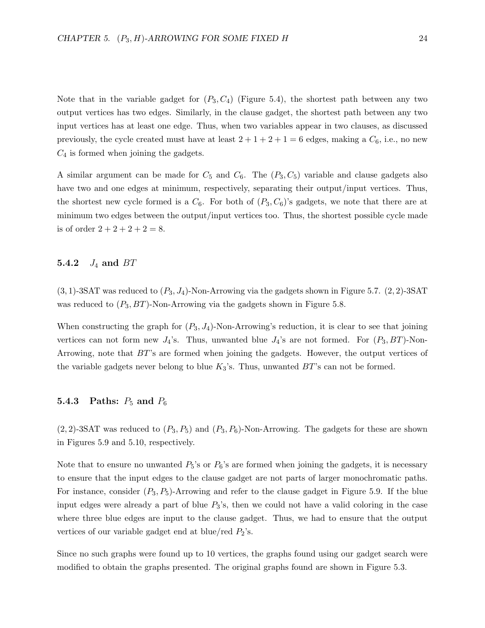Note that in the variable gadget for  $(P_3, C_4)$  (Figure 5.4), the shortest path between any two output vertices has two edges. Similarly, in the clause gadget, the shortest path between any two input vertices has at least one edge. Thus, when two variables appear in two clauses, as discussed previously, the cycle created must have at least  $2 + 1 + 2 + 1 = 6$  edges, making a  $C_6$ , i.e., no new  $C_4$  is formed when joining the gadgets.

A similar argument can be made for  $C_5$  and  $C_6$ . The  $(P_3, C_5)$  variable and clause gadgets also have two and one edges at minimum, respectively, separating their output/input vertices. Thus, the shortest new cycle formed is a  $C_6$ . For both of  $(P_3, C_6)$ 's gadgets, we note that there are at minimum two edges between the output/input vertices too. Thus, the shortest possible cycle made is of order  $2 + 2 + 2 + 2 = 8$ .

#### 5.4.2  $J_4$  and  $BT$

 $(3, 1)$ -3SAT was reduced to  $(P_3, J_4)$ -Non-Arrowing via the gadgets shown in Figure 5.7.  $(2, 2)$ -3SAT was reduced to  $(P_3, BT)$ -Non-Arrowing via the gadgets shown in Figure 5.8.

When constructing the graph for  $(P_3, J_4)$ -Non-Arrowing's reduction, it is clear to see that joining vertices can not form new  $J_4$ 's. Thus, unwanted blue  $J_4$ 's are not formed. For  $(P_3, BT)$ -Non-Arrowing, note that BT's are formed when joining the gadgets. However, the output vertices of the variable gadgets never belong to blue  $K_3$ 's. Thus, unwanted  $BT$ 's can not be formed.

## 5.4.3 Paths:  $P_5$  and  $P_6$

 $(2, 2)$ -3SAT was reduced to  $(P_3, P_5)$  and  $(P_3, P_6)$ -Non-Arrowing. The gadgets for these are shown in Figures 5.9 and 5.10, respectively.

Note that to ensure no unwanted  $P_5$ 's or  $P_6$ 's are formed when joining the gadgets, it is necessary to ensure that the input edges to the clause gadget are not parts of larger monochromatic paths. For instance, consider  $(P_3, P_5)$ -Arrowing and refer to the clause gadget in Figure 5.9. If the blue input edges were already a part of blue  $P_3$ 's, then we could not have a valid coloring in the case where three blue edges are input to the clause gadget. Thus, we had to ensure that the output vertices of our variable gadget end at blue/red  $P_2$ 's.

Since no such graphs were found up to 10 vertices, the graphs found using our gadget search were modified to obtain the graphs presented. The original graphs found are shown in Figure 5.3.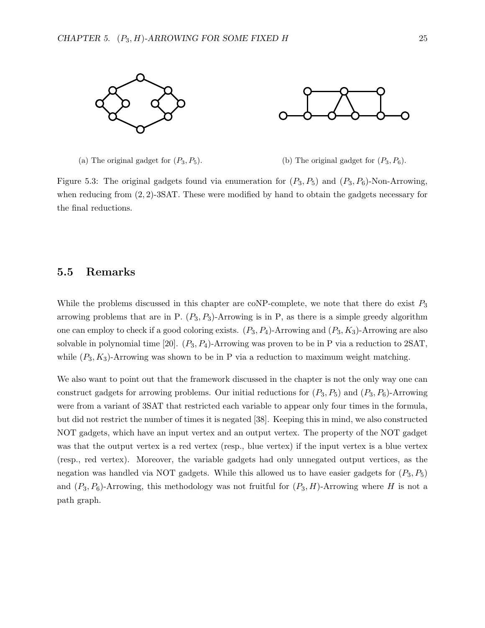

(a) The original gadget for  $(P_3, P_5)$ . (b) The original gadget for  $(P_3, P_6)$ .

Figure 5.3: The original gadgets found via enumeration for  $(P_3, P_5)$  and  $(P_3, P_6)$ -Non-Arrowing, when reducing from  $(2, 2)$ -3SAT. These were modified by hand to obtain the gadgets necessary for the final reductions.

### 5.5 Remarks

While the problems discussed in this chapter are coNP-complete, we note that there do exist  $P_3$ arrowing problems that are in P.  $(P_3, P_3)$ -Arrowing is in P, as there is a simple greedy algorithm one can employ to check if a good coloring exists.  $(P_3, P_4)$ -Arrowing and  $(P_3, K_3)$ -Arrowing are also solvable in polynomial time [20].  $(P_3, P_4)$ -Arrowing was proven to be in P via a reduction to 2SAT, while  $(P_3, K_3)$ -Arrowing was shown to be in P via a reduction to maximum weight matching.

We also want to point out that the framework discussed in the chapter is not the only way one can construct gadgets for arrowing problems. Our initial reductions for  $(P_3, P_5)$  and  $(P_3, P_6)$ -Arrowing were from a variant of 3SAT that restricted each variable to appear only four times in the formula, but did not restrict the number of times it is negated [38]. Keeping this in mind, we also constructed NOT gadgets, which have an input vertex and an output vertex. The property of the NOT gadget was that the output vertex is a red vertex (resp., blue vertex) if the input vertex is a blue vertex (resp., red vertex). Moreover, the variable gadgets had only unnegated output vertices, as the negation was handled via NOT gadgets. While this allowed us to have easier gadgets for  $(P_3, P_5)$ and  $(P_3, P_6)$ -Arrowing, this methodology was not fruitful for  $(P_3, H)$ -Arrowing where H is not a path graph.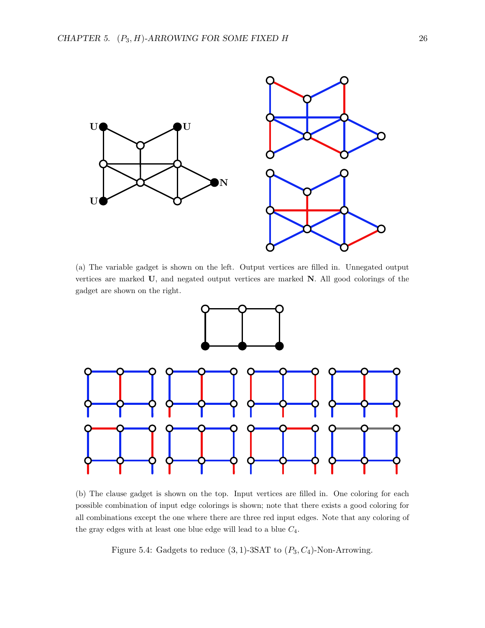

(a) The variable gadget is shown on the left. Output vertices are filled in. Unnegated output vertices are marked U, and negated output vertices are marked N. All good colorings of the gadget are shown on the right.



(b) The clause gadget is shown on the top. Input vertices are filled in. One coloring for each possible combination of input edge colorings is shown; note that there exists a good coloring for all combinations except the one where there are three red input edges. Note that any coloring of the gray edges with at least one blue edge will lead to a blue  $C_4$ .

Figure 5.4: Gadgets to reduce  $(3, 1)$ -3SAT to  $(P_3, C_4)$ -Non-Arrowing.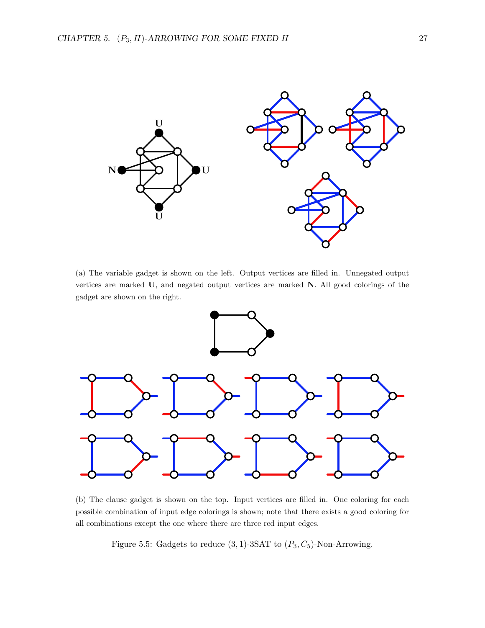

(a) The variable gadget is shown on the left. Output vertices are filled in. Unnegated output vertices are marked U, and negated output vertices are marked N. All good colorings of the gadget are shown on the right.



(b) The clause gadget is shown on the top. Input vertices are filled in. One coloring for each possible combination of input edge colorings is shown; note that there exists a good coloring for all combinations except the one where there are three red input edges.

Figure 5.5: Gadgets to reduce  $(3, 1)$ -3SAT to  $(P_3, C_5)$ -Non-Arrowing.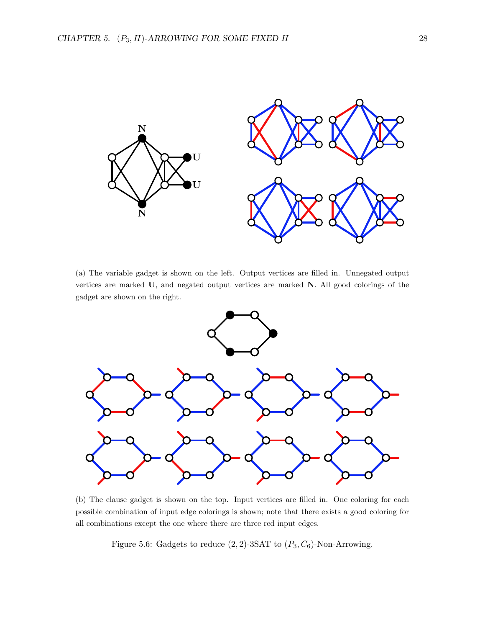

(a) The variable gadget is shown on the left. Output vertices are filled in. Unnegated output vertices are marked U, and negated output vertices are marked N. All good colorings of the gadget are shown on the right.



(b) The clause gadget is shown on the top. Input vertices are filled in. One coloring for each possible combination of input edge colorings is shown; note that there exists a good coloring for all combinations except the one where there are three red input edges.

Figure 5.6: Gadgets to reduce  $(2, 2)$ -3SAT to  $(P_3, C_6)$ -Non-Arrowing.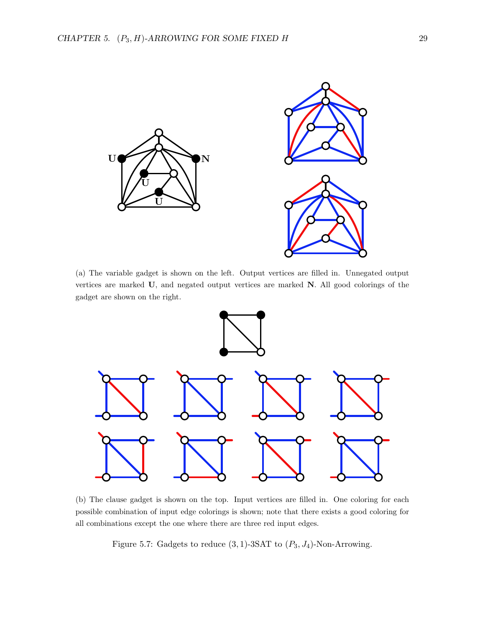

(a) The variable gadget is shown on the left. Output vertices are filled in. Unnegated output vertices are marked U, and negated output vertices are marked N. All good colorings of the gadget are shown on the right.



(b) The clause gadget is shown on the top. Input vertices are filled in. One coloring for each possible combination of input edge colorings is shown; note that there exists a good coloring for all combinations except the one where there are three red input edges.

Figure 5.7: Gadgets to reduce  $(3, 1)$ -3SAT to  $(P_3, J_4)$ -Non-Arrowing.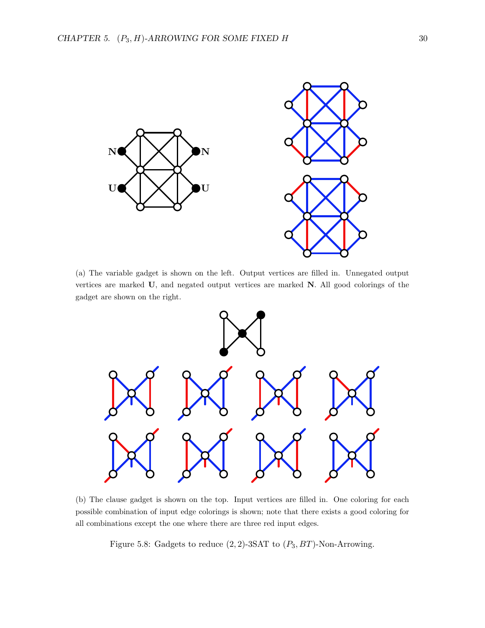

(a) The variable gadget is shown on the left. Output vertices are filled in. Unnegated output vertices are marked U, and negated output vertices are marked N. All good colorings of the gadget are shown on the right.



(b) The clause gadget is shown on the top. Input vertices are filled in. One coloring for each possible combination of input edge colorings is shown; note that there exists a good coloring for all combinations except the one where there are three red input edges.

Figure 5.8: Gadgets to reduce  $(2, 2)$ -3SAT to  $(P_3, BT)$ -Non-Arrowing.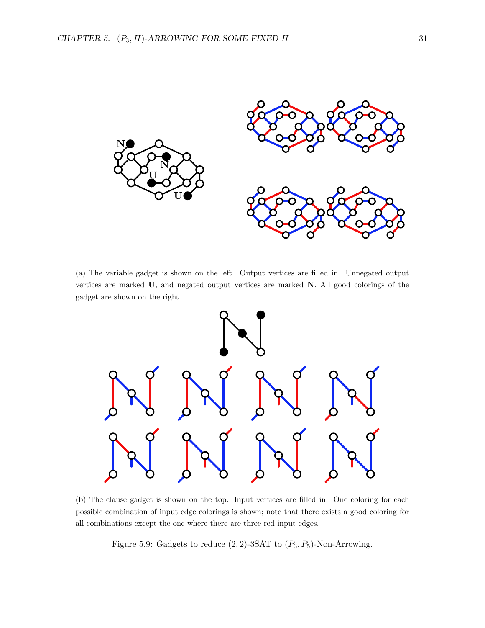

(a) The variable gadget is shown on the left. Output vertices are filled in. Unnegated output vertices are marked U, and negated output vertices are marked N. All good colorings of the gadget are shown on the right.



(b) The clause gadget is shown on the top. Input vertices are filled in. One coloring for each possible combination of input edge colorings is shown; note that there exists a good coloring for all combinations except the one where there are three red input edges.

Figure 5.9: Gadgets to reduce  $(2, 2)$ -3SAT to  $(P_3, P_5)$ -Non-Arrowing.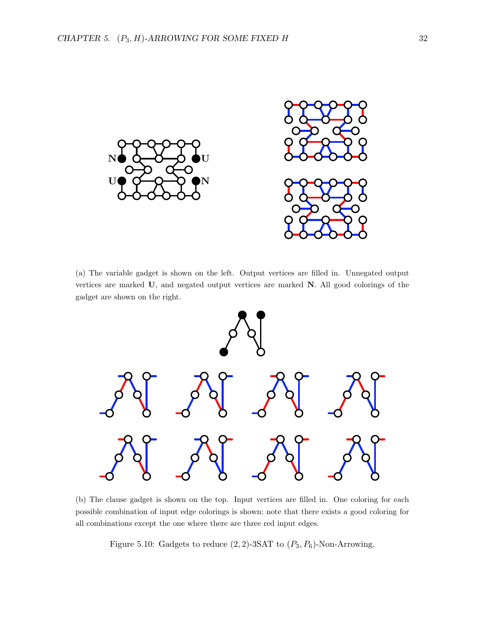

(a) The variable gadget is shown on the left. Output vertices are filled in. Unnegated output vertices are marked U, and negated output vertices are marked N. All good colorings of the gadget are shown on the right.



(b) The clause gadget is shown on the top. Input vertices are filled in. One coloring for each possible combination of input edge colorings is shown; note that there exists a good coloring for all combinations except the one where there are three red input edges.

Figure 5.10: Gadgets to reduce  $(2, 2)$ -3SAT to  $(P_3, P_6)$ -Non-Arrowing.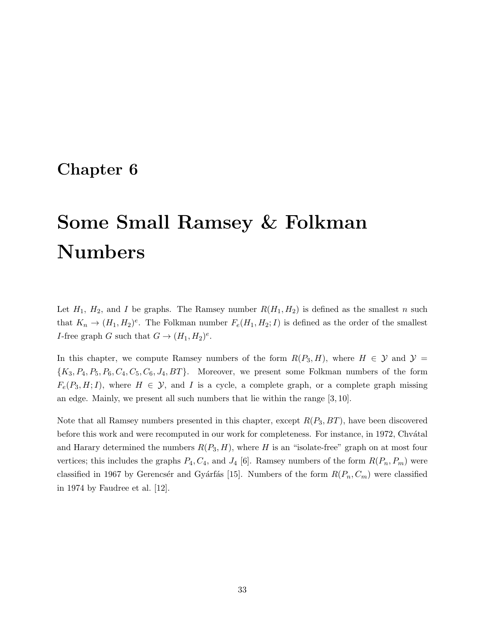# Chapter 6

# Some Small Ramsey & Folkman Numbers

Let  $H_1$ ,  $H_2$ , and I be graphs. The Ramsey number  $R(H_1, H_2)$  is defined as the smallest n such that  $K_n \to (H_1, H_2)^e$ . The Folkman number  $F_e(H_1, H_2; I)$  is defined as the order of the smallest *I*-free graph *G* such that  $G \to (H_1, H_2)^e$ .

In this chapter, we compute Ramsey numbers of the form  $R(P_3, H)$ , where  $H \in \mathcal{Y}$  and  $\mathcal{Y} =$  ${K_3, P_4, P_5, P_6, C_4, C_5, C_6, J_4, BT}$ . Moreover, we present some Folkman numbers of the form  $F_e(P_3, H; I)$ , where  $H \in \mathcal{Y}$ , and I is a cycle, a complete graph, or a complete graph missing an edge. Mainly, we present all such numbers that lie within the range [3, 10].

Note that all Ramsey numbers presented in this chapter, except  $R(P_3, BT)$ , have been discovered before this work and were recomputed in our work for completeness. For instance, in 1972, Chvátal and Harary determined the numbers  $R(P_3, H)$ , where H is an "isolate-free" graph on at most four vertices; this includes the graphs  $P_4, C_4$ , and  $J_4$  [6]. Ramsey numbers of the form  $R(P_n, P_m)$  were classified in 1967 by Gerencs'er and Gyárfás [15]. Numbers of the form  $R(P_n, C_m)$  were classified in 1974 by Faudree et al. [12].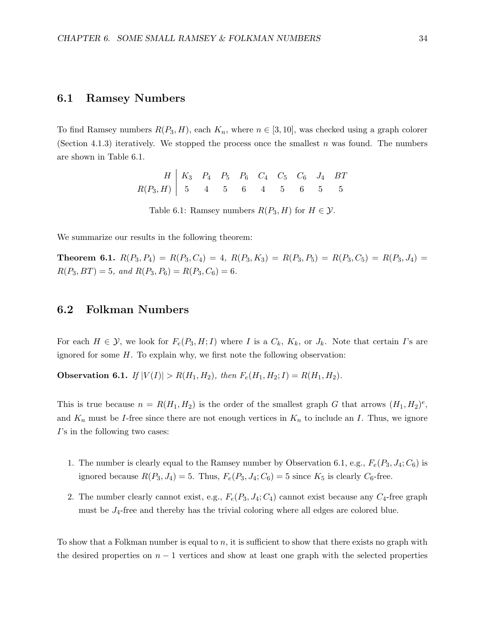#### 6.1 Ramsey Numbers

To find Ramsey numbers  $R(P_3, H)$ , each  $K_n$ , where  $n \in [3, 10]$ , was checked using a graph colorer (Section 4.1.3) iteratively. We stopped the process once the smallest n was found. The numbers are shown in Table 6.1.

> $H \, | \, K_3 \, P_4 \, P_5 \, P_6 \, C_4 \, C_5 \, C_6 \, J_4 \, BT$  $R(P_3, H)$  | 5 4 5 6 4 5 6 5 5 Table 6.1: Ramsey numbers  $R(P_3, H)$  for  $H \in \mathcal{Y}$ .

We summarize our results in the following theorem:

**Theorem 6.1.**  $R(P_3, P_4) = R(P_3, C_4) = 4$ ,  $R(P_3, K_3) = R(P_3, P_5) = R(P_3, C_5) = R(P_3, J_4)$  $R(P_3, BT) = 5$ , and  $R(P_3, P_6) = R(P_3, C_6) = 6$ .

### 6.2 Folkman Numbers

For each  $H \in \mathcal{Y}$ , we look for  $F_e(P_3, H; I)$  where I is a  $C_k$ ,  $K_k$ , or  $J_k$ . Note that certain I's are ignored for some  $H$ . To explain why, we first note the following observation:

**Observation 6.1.** If  $|V(I)| > R(H_1, H_2)$ , then  $F_e(H_1, H_2; I) = R(H_1, H_2)$ .

This is true because  $n = R(H_1, H_2)$  is the order of the smallest graph G that arrows  $(H_1, H_2)^e$ , and  $K_n$  must be *I*-free since there are not enough vertices in  $K_n$  to include an *I*. Thus, we ignore I's in the following two cases:

- 1. The number is clearly equal to the Ramsey number by Observation 6.1, e.g.,  $F_e(P_3, J_4; C_6)$  is ignored because  $R(P_3, J_4) = 5$ . Thus,  $F_e(P_3, J_4; C_6) = 5$  since  $K_5$  is clearly  $C_6$ -free.
- 2. The number clearly cannot exist, e.g.,  $F_e(P_3, J_4; C_4)$  cannot exist because any  $C_4$ -free graph must be  $J_4$ -free and thereby has the trivial coloring where all edges are colored blue.

To show that a Folkman number is equal to  $n$ , it is sufficient to show that there exists no graph with the desired properties on  $n-1$  vertices and show at least one graph with the selected properties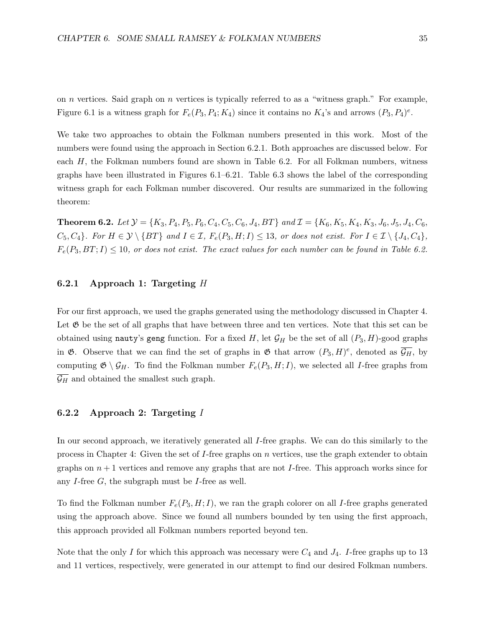on  $n$  vertices. Said graph on  $n$  vertices is typically referred to as a "witness graph." For example, Figure 6.1 is a witness graph for  $F_e(P_3, P_4; K_4)$  since it contains no  $K_4$ 's and arrows  $(P_3, P_4)^e$ .

We take two approaches to obtain the Folkman numbers presented in this work. Most of the numbers were found using the approach in Section 6.2.1. Both approaches are discussed below. For each H, the Folkman numbers found are shown in Table 6.2. For all Folkman numbers, witness graphs have been illustrated in Figures 6.1–6.21. Table 6.3 shows the label of the corresponding witness graph for each Folkman number discovered. Our results are summarized in the following theorem:

Theorem 6.2. Let Y = {K3, P4, P5, P6, C4, C5, C6, J4, BT} and I = {K6, K5, K4, K3, J6, J5, J4, C6,  $C_5, C_4$ . For  $H \in \mathcal{Y} \setminus \{BT\}$  and  $I \in \mathcal{I}$ ,  $F_e(P_3, H; I) \leq 13$ , or does not exist. For  $I \in \mathcal{I} \setminus \{J_4, C_4\}$ ,  $F_e(P_3, BT; I) \le 10$ , or does not exist. The exact values for each number can be found in Table 6.2.

#### 6.2.1 Approach 1: Targeting H

For our first approach, we used the graphs generated using the methodology discussed in Chapter 4. Let  $\mathfrak G$  be the set of all graphs that have between three and ten vertices. Note that this set can be obtained using nauty's geng function. For a fixed H, let  $\mathcal{G}_H$  be the set of all  $(P_3, H)$ -good graphs in  $\mathfrak{G}$ . Observe that we can find the set of graphs in  $\mathfrak{G}$  that arrow  $(P_3, H)^e$ , denoted as  $\overline{\mathcal{G}_H}$ , by computing  $\mathfrak{G} \setminus \mathcal{G}_H$ . To find the Folkman number  $F_e(P_3, H; I)$ , we selected all I-free graphs from  $\overline{\mathcal{G}_H}$  and obtained the smallest such graph.

#### 6.2.2 Approach 2: Targeting I

In our second approach, we iteratively generated all I-free graphs. We can do this similarly to the process in Chapter 4: Given the set of I-free graphs on  $n$  vertices, use the graph extender to obtain graphs on  $n+1$  vertices and remove any graphs that are not I-free. This approach works since for any I-free  $G$ , the subgraph must be I-free as well.

To find the Folkman number  $F_e(P_3, H; I)$ , we ran the graph colorer on all I-free graphs generated using the approach above. Since we found all numbers bounded by ten using the first approach, this approach provided all Folkman numbers reported beyond ten.

Note that the only I for which this approach was necessary were  $C_4$  and  $J_4$ . I-free graphs up to 13 and 11 vertices, respectively, were generated in our attempt to find our desired Folkman numbers.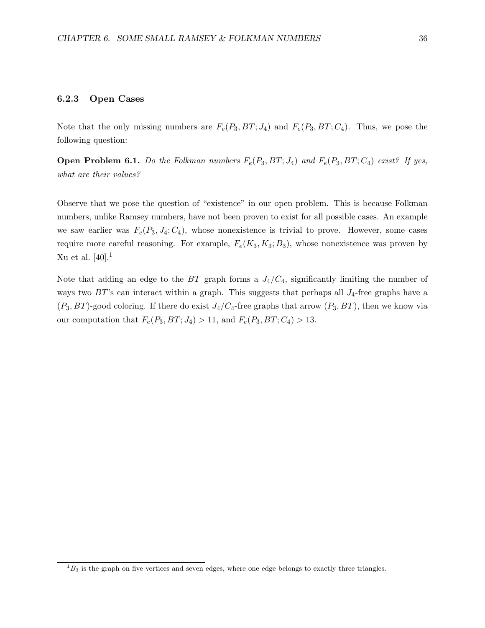#### 6.2.3 Open Cases

Note that the only missing numbers are  $F_e(P_3, BT; J_4)$  and  $F_e(P_3, BT; C_4)$ . Thus, we pose the following question:

**Open Problem 6.1.** Do the Folkman numbers  $F_e(P_3, BT; J_4)$  and  $F_e(P_3, BT; C_4)$  exist? If yes, what are their values?

Observe that we pose the question of "existence" in our open problem. This is because Folkman numbers, unlike Ramsey numbers, have not been proven to exist for all possible cases. An example we saw earlier was  $F_e(P_3, J_4; C_4)$ , whose nonexistence is trivial to prove. However, some cases require more careful reasoning. For example,  $F_e(K_3, K_3; B_3)$ , whose nonexistence was proven by Xu et al.  $[40].<sup>1</sup>$ 

Note that adding an edge to the  $BT$  graph forms a  $J_4/C_4$ , significantly limiting the number of ways two  $BT$ 's can interact within a graph. This suggests that perhaps all  $J_4$ -free graphs have a  $(P_3, BT)$ -good coloring. If there do exist  $J_4/C_4$ -free graphs that arrow  $(P_3, BT)$ , then we know via our computation that  $F_e(P_3, BT; J_4) > 11$ , and  $F_e(P_3, BT; C_4) > 13$ .

 ${}^{1}B_{3}$  is the graph on five vertices and seven edges, where one edge belongs to exactly three triangles.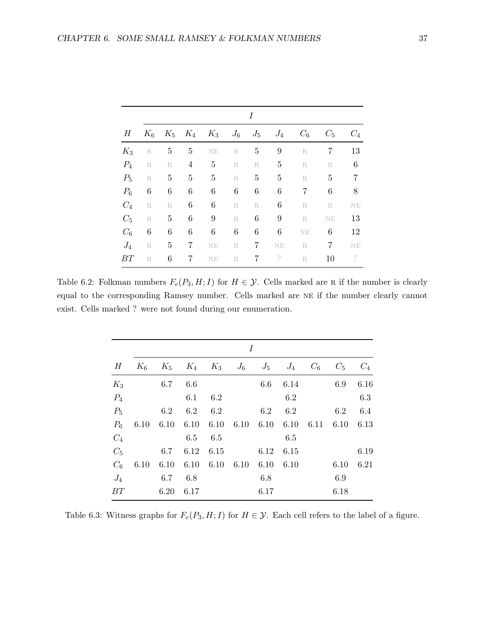|                 |               |                |                  |                               |                 | I               |                  |                |                |                |
|-----------------|---------------|----------------|------------------|-------------------------------|-----------------|-----------------|------------------|----------------|----------------|----------------|
| $H_{\parallel}$ | $K_6$         |                |                  | $K_5$ $K_4$ $K_3$ $J_6$ $J_5$ |                 |                 | $J_4$            | $C_6$          | $C_5$          | $C_4$          |
| $K_3$           | R             | $\overline{5}$ | $\overline{5}$   | $\rm NE$                      | $R_{-}$         | $5\overline{)}$ | $9\phantom{.0}$  | R              | $\overline{7}$ | 13             |
| $P_4$           | R             | R              | $\overline{4}$   | $\overline{5}$                | $\mathbb R$     | R               | $\overline{5}$   | $\mathbb R$    | R              | $\,6\,$        |
| $P_5$           | R             | $\overline{5}$ | $\overline{5}$   | $\overline{5}$                | R               | $\overline{5}$  | $\overline{5}$   | R              | $\overline{5}$ | $\overline{7}$ |
| $P_6$           | $\,6\,$       | $\,6\,$        | $\boldsymbol{6}$ | $\,6\,$                       | $6\phantom{.}6$ | $\,6\,$         | $\,6\,$          | $\overline{7}$ | $\,6\,$        | $8\,$          |
| $C_4$           | $\mathbb R$   | $\mathbf R$    | $\boldsymbol{6}$ | $\,6\,$                       | R               | R               | $\,6\,$          | R              | R              | NE             |
| $C_5$           | $\mathbbm{R}$ | $\overline{5}$ | $\,6\,$          | $\boldsymbol{9}$              | $\mathbf R$     | $\,6\,$         | $\boldsymbol{9}$ | R              | NE             | 13             |
| $C_6$           | $\,6$         | $\,6\,$        | $\,6\,$          | $\,6\,$                       | $\,6\,$         | $\,6\,$         | $\,6\,$          | $\rm NE$       | $\,6\,$        | 12             |
| $J_4$           | R             | 5              | $\overline{7}$   | $\rm NE$                      | $\mathbf R$     | 7               | $\rm NE$         | R —            | $\overline{7}$ | NE             |
| BT              | $\mathbb R$   | $\,6$          | 7                | NE                            | R               | 7               | $\binom{2}{3}$   | R              | 10             | $\gamma$       |

Table 6.2: Folkman numbers  $F_e(P_3, H; I)$  for  $H \in \mathcal{Y}$ . Cells marked are R if the number is clearly equal to the corresponding Ramsey number. Cells marked are ne if the number clearly cannot exist. Cells marked ? were not found during our enumeration.

|       |       |       |           |                      | I    |         |                               |       |       |       |
|-------|-------|-------|-----------|----------------------|------|---------|-------------------------------|-------|-------|-------|
| Н     | $K_6$ | $K_5$ |           |                      |      |         | $K_4$ $K_3$ $J_6$ $J_5$ $J_4$ | $C_6$ | $C_5$ | $C_4$ |
| $K_3$ |       | 6.7   | 6.6       |                      |      | $6.6\,$ | 6.14                          |       | 6.9   | 6.16  |
| $P_4$ |       |       | 6.1       | 6.2                  |      |         | 6.2                           |       |       | 6.3   |
| $P_5$ |       | 6.2   |           | $6.2\phantom{00}6.2$ |      | 6.2     | 6.2                           |       | 6.2   | 6.4   |
| $P_6$ | 6.10  | 6.10  | 6.10      | 6.10                 | 6.10 |         | 6.10 6.10                     | 6.11  | 6.10  | 6.13  |
| $C_4$ |       |       | 6.5       | 6.5                  |      |         | 6.5                           |       |       |       |
| $C_5$ |       | 6.7   | 6.12      | 6.15                 |      | 6.12    | 6.15                          |       |       | 6.19  |
| $C_6$ | 6.10  | 6.10  | 6.10 6.10 |                      | 6.10 | 6.10    | 6.10                          |       | 6.10  | 6.21  |
| $J_4$ |       | 6.7   | 6.8       |                      |      | 6.8     |                               |       | 6.9   |       |
| BT    |       | 6.20  | 6.17      |                      |      | 6.17    |                               |       | 6.18  |       |

Table 6.3: Witness graphs for  $F_e(P_3, H; I)$  for  $H \in \mathcal{Y}$ . Each cell refers to the label of a figure.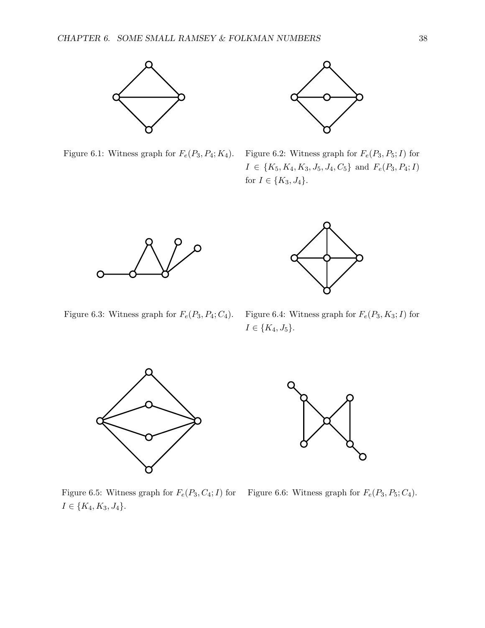



Figure 6.1: Witness graph for  $F_e(P_3, P_4; K_4)$ . Figure 6.2: Witness graph for  $F_e(P_3, P_5; I)$  for  $I \in \{K_5, K_4, K_3, J_5, J_4, C_5\}$  and  $F_e(P_3, P_4; I)$ for  $I \in \{K_3, J_4\}.$ 





Figure 6.3: Witness graph for  $F_e(P_3, P_4; C_4)$ . Figure 6.4: Witness graph for  $F_e(P_3, K_3; I)$  for

 $I\in\{K_4,J_5\}.$ 



П

Figure 6.5: Witness graph for  $F_e(P_3, C_4; I)$  for  $I\in\{K_4,K_3,J_4\}.$ 

Figure 6.6: Witness graph for  $F_e(P_3, P_5; C_4)$ .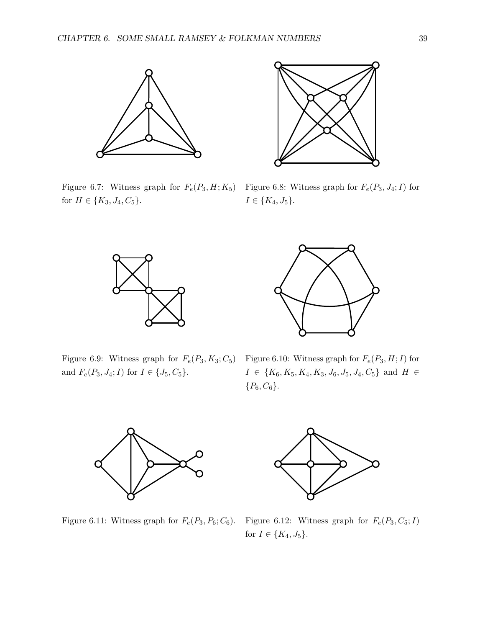

Figure 6.7: Witness graph for  $F_e(P_3, H; K_5)$ for  $H \in \{K_3, J_4, C_5\}.$ 



Figure 6.8: Witness graph for  $F_e(P_3, J_4; I)$  for  $I \in \{K_4, J_5\}.$ 





Figure 6.9: Witness graph for  $F_e(P_3, K_3; C_5)$  Figure 6.10: Witness graph for  $F_e(P_3, H; I)$  for and  $F_e(P_3, J_4; I)$  for  $I \in \{J_5, C_5\}$ .

 $I \in \{K_6, K_5, K_4, K_3, J_6, J_5, J_4, C_5\}$  and  $H \in$  ${P_6, C_6}.$ 



Figure 6.11: Witness graph for  $F_e(P_3, P_6; C_6)$ . Figure 6.12: Witness graph for  $F_e(P_3, C_5; I)$ for  $I \in \{K_4, J_5\}$ .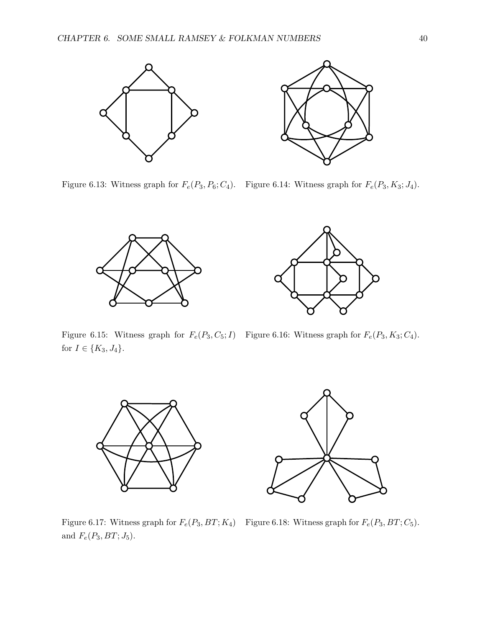



Figure 6.13: Witness graph for  $F_e(P_3, P_6; C_4)$ . Figure 6.14: Witness graph for  $F_e(P_3, K_3; J_4)$ .





Figure 6.15: Witness graph for  $F_e(P_3, C_5; I)$  Figure 6.16: Witness graph for  $F_e(P_3, K_3; C_4)$ . for  $I \in \{K_3, J_4\}.$ 



Figure 6.17: Witness graph for  $F_e(P_3, BT; K_4)$  Figure 6.18: Witness graph for  $F_e(P_3, BT; C_5)$ . and  $F_e(P_3, BT; J_5)$ .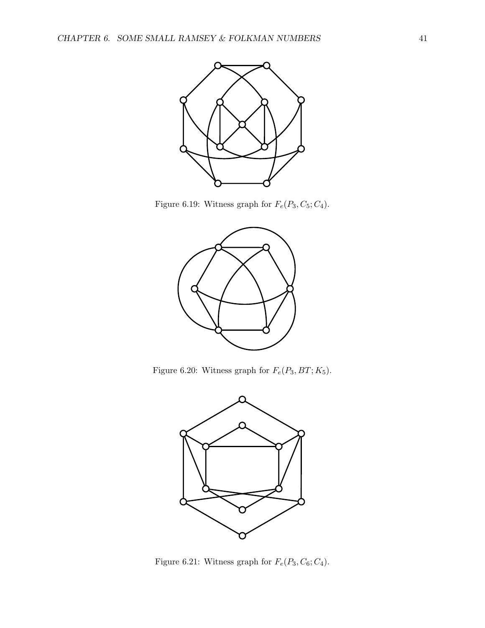

Figure 6.19: Witness graph for  $F_e(P_3, C_5; C_4)$ .



Figure 6.20: Witness graph for  $F_e(P_3, BT; K_5).$ 



Figure 6.21: Witness graph for  $F_e(P_3, C_6; C_4)$ .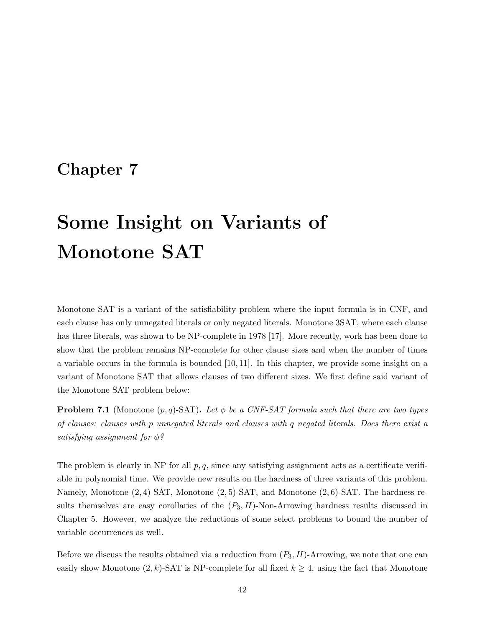# Chapter 7

# Some Insight on Variants of Monotone SAT

Monotone SAT is a variant of the satisfiability problem where the input formula is in CNF, and each clause has only unnegated literals or only negated literals. Monotone 3SAT, where each clause has three literals, was shown to be NP-complete in 1978 [17]. More recently, work has been done to show that the problem remains NP-complete for other clause sizes and when the number of times a variable occurs in the formula is bounded [10, 11]. In this chapter, we provide some insight on a variant of Monotone SAT that allows clauses of two different sizes. We first define said variant of the Monotone SAT problem below:

**Problem 7.1** (Monotone  $(p, q)$ -SAT). Let  $\phi$  be a CNF-SAT formula such that there are two types of clauses: clauses with p unnegated literals and clauses with q negated literals. Does there exist a satisfying assignment for  $\phi$ ?

The problem is clearly in NP for all  $p, q$ , since any satisfying assignment acts as a certificate verifiable in polynomial time. We provide new results on the hardness of three variants of this problem. Namely, Monotone (2, 4)-SAT, Monotone (2, 5)-SAT, and Monotone (2, 6)-SAT. The hardness results themselves are easy corollaries of the  $(P_3, H)$ -Non-Arrowing hardness results discussed in Chapter 5. However, we analyze the reductions of some select problems to bound the number of variable occurrences as well.

Before we discuss the results obtained via a reduction from  $(P_3, H)$ -Arrowing, we note that one can easily show Monotone  $(2, k)$ -SAT is NP-complete for all fixed  $k \geq 4$ , using the fact that Monotone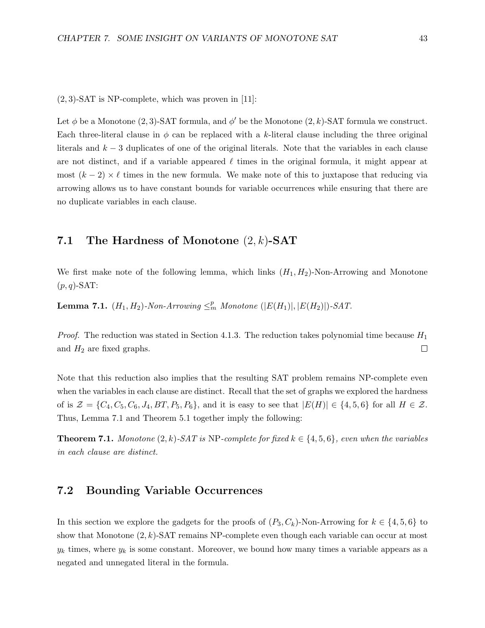$(2, 3)$ -SAT is NP-complete, which was proven in [11]:

Let  $\phi$  be a Monotone (2, 3)-SAT formula, and  $\phi'$  be the Monotone (2, k)-SAT formula we construct. Each three-literal clause in  $\phi$  can be replaced with a k-literal clause including the three original literals and  $k-3$  duplicates of one of the original literals. Note that the variables in each clause are not distinct, and if a variable appeared  $\ell$  times in the original formula, it might appear at most  $(k-2) \times \ell$  times in the new formula. We make note of this to juxtapose that reducing via arrowing allows us to have constant bounds for variable occurrences while ensuring that there are no duplicate variables in each clause.

## 7.1 The Hardness of Monotone  $(2, k)$ -SAT

We first make note of the following lemma, which links  $(H_1, H_2)$ -Non-Arrowing and Monotone  $(p, q)$ -SAT:

**Lemma 7.1.**  $(H_1, H_2)$ -Non-Arrowing  $\leq^p_m$  Monotone  $(|E(H_1)|, |E(H_2)|)$ -SAT.

*Proof.* The reduction was stated in Section 4.1.3. The reduction takes polynomial time because  $H_1$ and  $H_2$  are fixed graphs.  $\Box$ 

Note that this reduction also implies that the resulting SAT problem remains NP-complete even when the variables in each clause are distinct. Recall that the set of graphs we explored the hardness of is  $\mathcal{Z} = \{C_4, C_5, C_6, J_4, BT, P_5, P_6\}$ , and it is easy to see that  $|E(H)| \in \{4, 5, 6\}$  for all  $H \in \mathcal{Z}$ . Thus, Lemma 7.1 and Theorem 5.1 together imply the following:

**Theorem 7.1.** Monotone  $(2, k)$ -SAT is NP-complete for fixed  $k \in \{4, 5, 6\}$ , even when the variables in each clause are distinct.

### 7.2 Bounding Variable Occurrences

In this section we explore the gadgets for the proofs of  $(P_3, C_k)$ -Non-Arrowing for  $k \in \{4, 5, 6\}$  to show that Monotone  $(2, k)$ -SAT remains NP-complete even though each variable can occur at most  $y_k$  times, where  $y_k$  is some constant. Moreover, we bound how many times a variable appears as a negated and unnegated literal in the formula.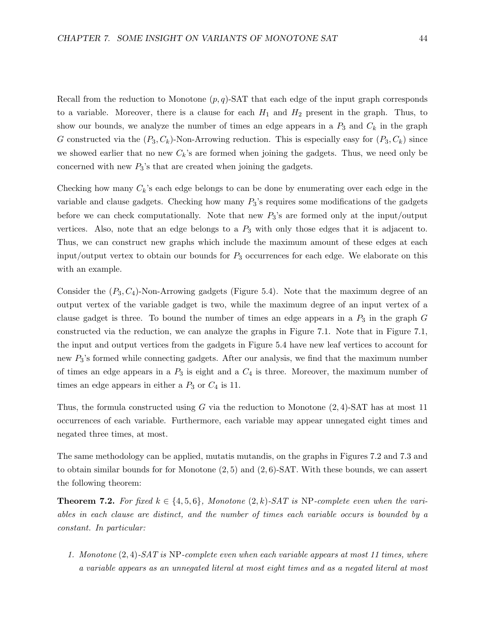Recall from the reduction to Monotone  $(p, q)$ -SAT that each edge of the input graph corresponds to a variable. Moreover, there is a clause for each  $H_1$  and  $H_2$  present in the graph. Thus, to show our bounds, we analyze the number of times an edge appears in a  $P_3$  and  $C_k$  in the graph G constructed via the  $(P_3, C_k)$ -Non-Arrowing reduction. This is especially easy for  $(P_3, C_k)$  since we showed earlier that no new  $C_k$ 's are formed when joining the gadgets. Thus, we need only be concerned with new  $P_3$ 's that are created when joining the gadgets.

Checking how many  $C_k$ 's each edge belongs to can be done by enumerating over each edge in the variable and clause gadgets. Checking how many  $P_3$ 's requires some modifications of the gadgets before we can check computationally. Note that new  $P_3$ 's are formed only at the input/output vertices. Also, note that an edge belongs to a  $P_3$  with only those edges that it is adjacent to. Thus, we can construct new graphs which include the maximum amount of these edges at each input/output vertex to obtain our bounds for  $P_3$  occurrences for each edge. We elaborate on this with an example.

Consider the  $(P_3, C_4)$ -Non-Arrowing gadgets (Figure 5.4). Note that the maximum degree of an output vertex of the variable gadget is two, while the maximum degree of an input vertex of a clause gadget is three. To bound the number of times an edge appears in a  $P_3$  in the graph  $G$ constructed via the reduction, we can analyze the graphs in Figure 7.1. Note that in Figure 7.1, the input and output vertices from the gadgets in Figure 5.4 have new leaf vertices to account for new  $P_3$ 's formed while connecting gadgets. After our analysis, we find that the maximum number of times an edge appears in a  $P_3$  is eight and a  $C_4$  is three. Moreover, the maximum number of times an edge appears in either a  $P_3$  or  $C_4$  is 11.

Thus, the formula constructed using G via the reduction to Monotone  $(2, 4)$ -SAT has at most 11 occurrences of each variable. Furthermore, each variable may appear unnegated eight times and negated three times, at most.

The same methodology can be applied, mutatis mutandis, on the graphs in Figures 7.2 and 7.3 and to obtain similar bounds for for Monotone  $(2,5)$  and  $(2,6)$ -SAT. With these bounds, we can assert the following theorem:

**Theorem 7.2.** For fixed  $k \in \{4, 5, 6\}$ , Monotone  $(2, k)$ -SAT is NP-complete even when the variables in each clause are distinct, and the number of times each variable occurs is bounded by a constant. In particular:

1. Monotone (2, 4)-SAT is NP-complete even when each variable appears at most 11 times, where a variable appears as an unnegated literal at most eight times and as a negated literal at most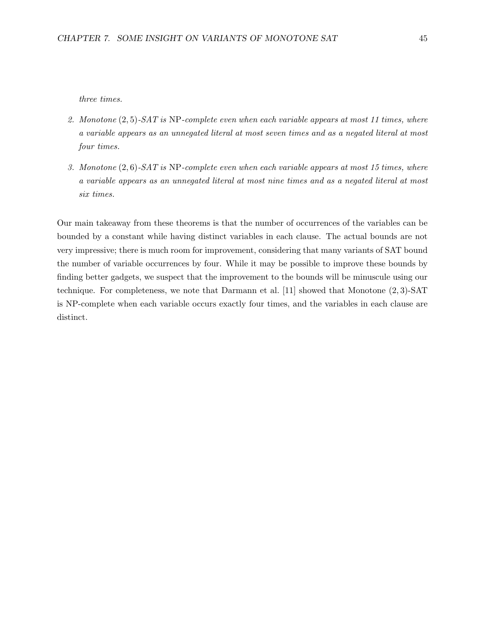three times.

- 2. Monotone  $(2, 5)$ -SAT is NP-complete even when each variable appears at most 11 times, where a variable appears as an unnegated literal at most seven times and as a negated literal at most four times.
- 3. Monotone  $(2, 6)$ -SAT is NP-complete even when each variable appears at most 15 times, where a variable appears as an unnegated literal at most nine times and as a negated literal at most six times.

Our main takeaway from these theorems is that the number of occurrences of the variables can be bounded by a constant while having distinct variables in each clause. The actual bounds are not very impressive; there is much room for improvement, considering that many variants of SAT bound the number of variable occurrences by four. While it may be possible to improve these bounds by finding better gadgets, we suspect that the improvement to the bounds will be minuscule using our technique. For completeness, we note that Darmann et al. [11] showed that Monotone (2, 3)-SAT is NP-complete when each variable occurs exactly four times, and the variables in each clause are distinct.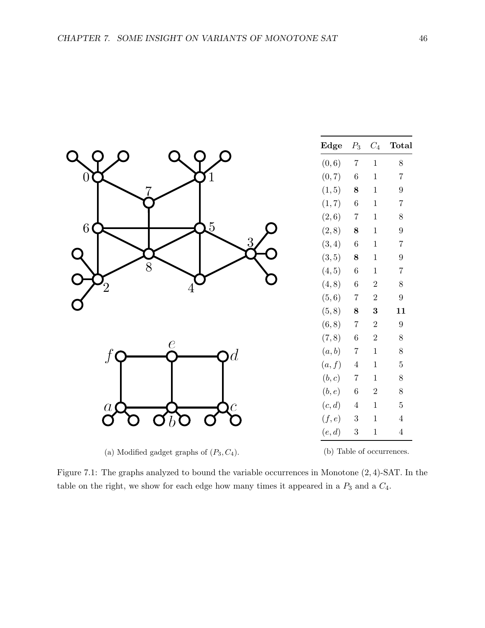|                       | $_{\rm Edge}$       | $\mathcal{P}_3$ | $\mathcal{C}_4$ | <b>Total</b>     |
|-----------------------|---------------------|-----------------|-----------------|------------------|
|                       | (0, 6)              | $\,7$           | $\,1\,$         | $8\,$            |
| 0                     | (0, 7)              | $\,6\,$         | $\,1$           | $\overline{7}$   |
|                       | (1, 5)              | $\bf 8$         | $\,1$           | $\boldsymbol{9}$ |
|                       | (1, 7)              | $\,6\,$         | $\mathbf 1$     | $\,7$            |
|                       | $\left( 2,6\right)$ | $\overline{7}$  | $\mathbf 1$     | $8\,$            |
| 5<br>$\boldsymbol{6}$ | (2, 8)              | $\bf 8$         | $\,1\,$         | $\boldsymbol{9}$ |
| 3                     | (3, 4)              | $\,6\,$         | $\,1\,$         | $\,7$            |
|                       | (3, 5)              | $\bf 8$         | $\mathbf 1$     | $\boldsymbol{9}$ |
| 8                     | (4, 5)              | $\,6\,$         | $\mathbf 1$     | $\sqrt{ }$       |
|                       | (4, 8)              | $\,6\,$         | $\sqrt{2}$      | $8\,$            |
|                       | (5, 6)              | $\sqrt{ }$      | $\sqrt{2}$      | $\boldsymbol{9}$ |
|                       | (5, 8)              | $\bf 8$         | $\bf{3}$        | $11\,$           |
|                       | (6, 8)              | $\sqrt{ }$      | $\sqrt{2}$      | $\boldsymbol{9}$ |
| $\epsilon$            | (7, 8)              | $\,6\,$         | $\sqrt{2}$      | $\,$ $\,$        |
| d                     | (a,b)               | $\,7$           | $\,1$           | $8\,$            |
|                       | (a, f)              | $\sqrt{4}$      | $\,1$           | $\bf 5$          |
|                       | (b, c)              | $\,7$           | $\mathbf 1$     | $8\,$            |
|                       | (b, e)              | $\,6\,$         | $\sqrt{2}$      | $8\,$            |
| $\overline{a}$        | (c,d)               | $\sqrt{4}$      | $\,1$           | $\bf 5$          |
|                       | (f, e)              | $\sqrt{3}$      | $\,1$           | $\,4\,$          |
|                       | (e,d)               | $\sqrt{3}$      | $\,1\,$         | $\sqrt{4}$       |
|                       |                     |                 |                 |                  |

(a) Modified gadget graphs of  $(P_3, C_4)$ .

(b) Table of occurrences.

Figure 7.1: The graphs analyzed to bound the variable occurrences in Monotone (2, 4)-SAT. In the table on the right, we show for each edge how many times it appeared in a  $P_3$  and a  $C_4$ .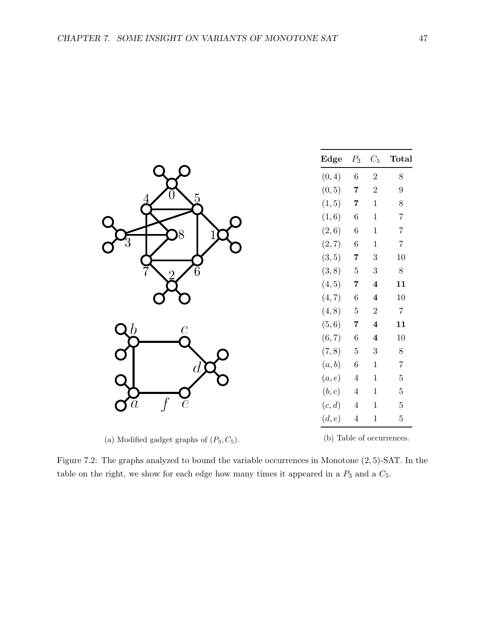|                | Edge   | $P_3$                   | $\mathcal{C}_5$  | <b>Total</b>     |
|----------------|--------|-------------------------|------------------|------------------|
|                | (0, 4) | $\,6\,$                 | $\overline{2}$   | $8\,$            |
|                | (0, 5) | $\overline{7}$          | $\sqrt{2}$       | $\boldsymbol{9}$ |
|                | (1, 5) | 7                       | $\mathbf 1$      | $\,8\,$          |
|                | (1, 6) | $\,6\,$                 | $\mathbf 1$      | $\overline{7}$   |
|                | (2, 6) | $\,6\,$                 | $\mathbf 1$      | $\overline{7}$   |
|                | (2, 7) | $\,6\,$                 | $\mathbf 1$      | $\overline{7}$   |
|                | (3, 5) | $\overline{7}$          | $\sqrt{3}$       | $10\,$           |
|                | (3, 8) | $\bf 5$                 | $\sqrt{3}$       | $8\,$            |
|                | (4, 5) | $\overline{7}$          | $\bf{4}$         | 11               |
|                | (4, 7) | $\,6\,$                 | $\bf{4}$         | $10\,$           |
|                | (4, 8) | $\bf 5$                 | $\sqrt{2}$       | $\,7$            |
| $\overline{c}$ | (5, 6) | $\overline{\mathbf{7}}$ | $\boldsymbol{4}$ | 11               |
|                | (6, 7) | $\,6\,$                 | $\boldsymbol{4}$ | $10\,$           |
|                | (7, 8) | $\bf 5$                 | $\sqrt{3}$       | $8\,$            |
|                | (a,b)  | $\,6\,$                 | $\mathbf 1$      | $\,7$            |
|                | (a,e)  | $\overline{4}$          | $\mathbf 1$      | $\bf 5$          |
|                | (b, c) | $\overline{4}$          | $1\,$            | $\bf 5$          |
| $\dot{e}$      | (c,d)  | $\overline{4}$          | $\,1$            | $\bf 5$          |
|                | (d, e) | $\overline{4}$          | $\mathbf 1$      | $\bf 5$          |

(a) Modified gadget graphs of  $(P_3, C_5)$ .

(b) Table of occurrences.

Figure 7.2: The graphs analyzed to bound the variable occurrences in Monotone (2, 5)-SAT. In the table on the right, we show for each edge how many times it appeared in a  $P_3$  and a  $C_5$ .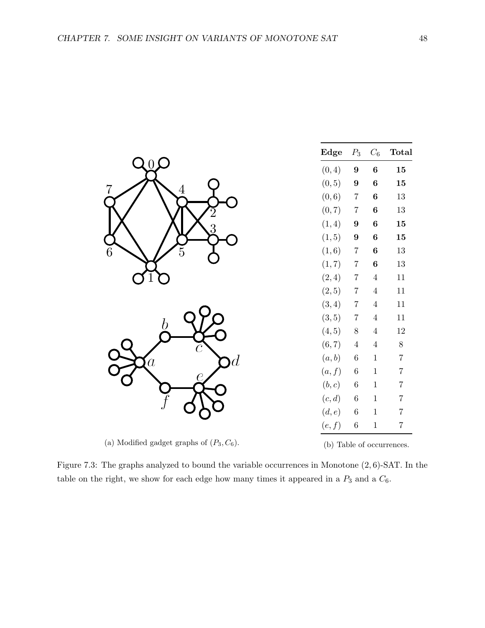|                                  | Edge   | $P_3$            | $\mathcal{C}_6$  | <b>Total</b>   |
|----------------------------------|--------|------------------|------------------|----------------|
| O                                | (0, 4) | $\boldsymbol{9}$ | $\bf{6}$         | ${\bf 15}$     |
| 7                                | (0, 5) | $\boldsymbol{9}$ | $\bf{6}$         | 15             |
| 4                                | (0, 6) | $\overline{7}$   | $\bf{6}$         | $13\,$         |
|                                  | (0, 7) | $\overline{7}$   | $\bf{6}$         | $13\,$         |
| 3                                | (1, 4) | $\boldsymbol{9}$ | $\boldsymbol{6}$ | ${\bf 15}$     |
|                                  | (1, 5) | $\boldsymbol{9}$ | $\bf{6}$         | 15             |
| $\boldsymbol{6}$<br>5            | (1, 6) | $\,7$            | $\bf{6}$         | $13\,$         |
|                                  | (1, 7) | $\,7$            | $\boldsymbol{6}$ | $13\,$         |
|                                  | (2, 4) | $\overline{7}$   | $\,4\,$          | $11\,$         |
|                                  | (2, 5) | $\overline{7}$   | $\,4\,$          | $11\,$         |
|                                  | (3, 4) | $\overline{7}$   | $\overline{4}$   | $11\,$         |
| n                                | (3, 5) | $\,7$            | $\overline{4}$   | $11\,$         |
|                                  | (4, 5) | $8\,$            | $\overline{4}$   | $12\,$         |
|                                  | (6, 7) | $\,4\,$          | $\overline{4}$   | $8\,$          |
| $\overline{d}$<br>$\overline{a}$ | (a, b) | $\,6\,$          | $\,1$            | $\overline{7}$ |
|                                  | (a, f) | $\,6$            | $\,1$            | $\overline{7}$ |
|                                  | (b, c) | $\,6\,$          | $\mathbf 1$      | $\overline{7}$ |
|                                  | (c,d)  | $\,6\,$          | $\mathbf{1}$     | $\overline{7}$ |
|                                  | (d, e) | $\,6$            | $\,1\,$          | $\overline{7}$ |
|                                  | (e,f)  | $\,6\,$          | $\mathbf 1$      | $\overline{7}$ |

(a) Modified gadget graphs of  $(P_3, C_6)$ .

(b) Table of occurrences.

Figure 7.3: The graphs analyzed to bound the variable occurrences in Monotone (2, 6)-SAT. In the table on the right, we show for each edge how many times it appeared in a  $P_3$  and a  $C_6$ .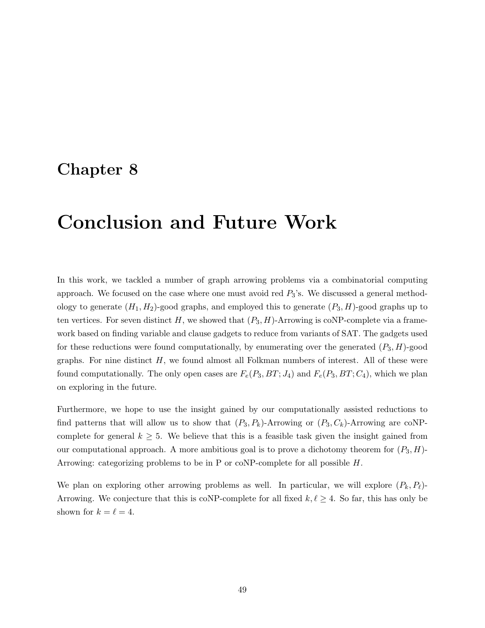# Chapter 8

# Conclusion and Future Work

In this work, we tackled a number of graph arrowing problems via a combinatorial computing approach. We focused on the case where one must avoid red  $P_3$ 's. We discussed a general methodology to generate  $(H_1, H_2)$ -good graphs, and employed this to generate  $(P_3, H)$ -good graphs up to ten vertices. For seven distinct H, we showed that  $(P_3, H)$ -Arrowing is coNP-complete via a framework based on finding variable and clause gadgets to reduce from variants of SAT. The gadgets used for these reductions were found computationally, by enumerating over the generated  $(P_3, H)$ -good graphs. For nine distinct  $H$ , we found almost all Folkman numbers of interest. All of these were found computationally. The only open cases are  $F_e(P_3, BT; J_4)$  and  $F_e(P_3, BT; C_4)$ , which we plan on exploring in the future.

Furthermore, we hope to use the insight gained by our computationally assisted reductions to find patterns that will allow us to show that  $(P_3, P_k)$ -Arrowing or  $(P_3, C_k)$ -Arrowing are coNPcomplete for general  $k \geq 5$ . We believe that this is a feasible task given the insight gained from our computational approach. A more ambitious goal is to prove a dichotomy theorem for  $(P_3, H)$ -Arrowing: categorizing problems to be in P or coNP-complete for all possible H.

We plan on exploring other arrowing problems as well. In particular, we will explore  $(P_k, P_\ell)$ -Arrowing. We conjecture that this is coNP-complete for all fixed  $k, \ell \geq 4$ . So far, this has only be shown for  $k = \ell = 4$ .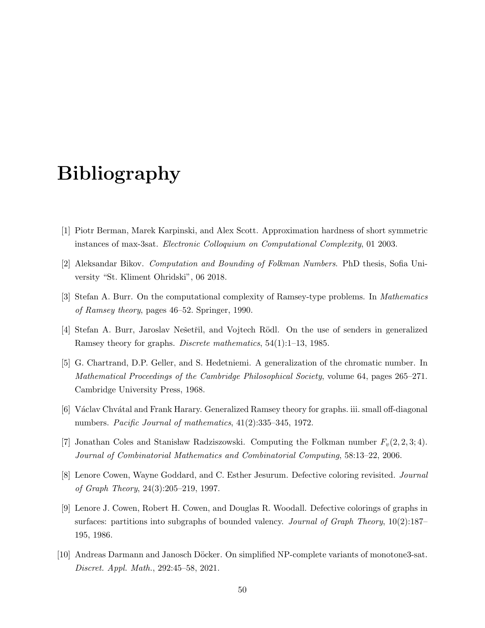# Bibliography

- [1] Piotr Berman, Marek Karpinski, and Alex Scott. Approximation hardness of short symmetric instances of max-3sat. Electronic Colloquium on Computational Complexity, 01 2003.
- [2] Aleksandar Bikov. Computation and Bounding of Folkman Numbers. PhD thesis, Sofia University "St. Kliment Ohridski", 06 2018.
- [3] Stefan A. Burr. On the computational complexity of Ramsey-type problems. In Mathematics of Ramsey theory, pages 46–52. Springer, 1990.
- [4] Stefan A. Burr, Jaroslav Nešetřil, and Vojtech Rödl. On the use of senders in generalized Ramsey theory for graphs. Discrete mathematics, 54(1):1–13, 1985.
- [5] G. Chartrand, D.P. Geller, and S. Hedetniemi. A generalization of the chromatic number. In Mathematical Proceedings of the Cambridge Philosophical Society, volume 64, pages 265–271. Cambridge University Press, 1968.
- [6] Václav Chvátal and Frank Harary. Generalized Ramsey theory for graphs. iii. small off-diagonal numbers. Pacific Journal of mathematics, 41(2):335–345, 1972.
- [7] Jonathan Coles and Stanisław Radziszowski. Computing the Folkman number  $F_v(2, 2, 3; 4)$ . Journal of Combinatorial Mathematics and Combinatorial Computing, 58:13–22, 2006.
- [8] Lenore Cowen, Wayne Goddard, and C. Esther Jesurum. Defective coloring revisited. Journal of Graph Theory, 24(3):205–219, 1997.
- [9] Lenore J. Cowen, Robert H. Cowen, and Douglas R. Woodall. Defective colorings of graphs in surfaces: partitions into subgraphs of bounded valency. *Journal of Graph Theory*, 10(2):187– 195, 1986.
- [10] Andreas Darmann and Janosch Döcker. On simplified NP-complete variants of monotone3-sat. Discret. Appl. Math., 292:45–58, 2021.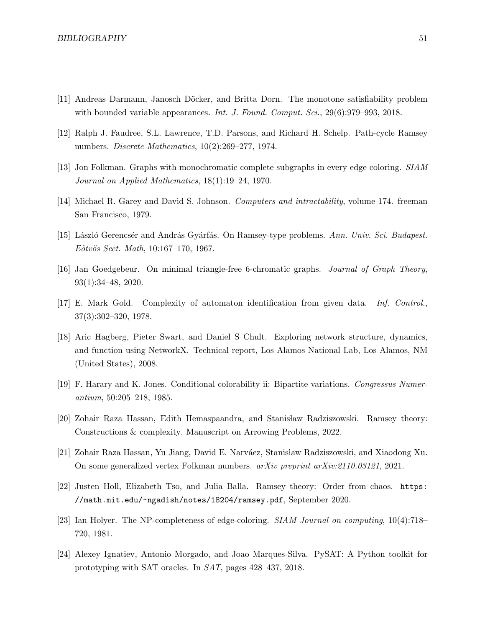- [11] Andreas Darmann, Janosch Döcker, and Britta Dorn. The monotone satisfiability problem with bounded variable appearances. *Int. J. Found. Comput. Sci.*, 29(6):979–993, 2018.
- [12] Ralph J. Faudree, S.L. Lawrence, T.D. Parsons, and Richard H. Schelp. Path-cycle Ramsey numbers. Discrete Mathematics, 10(2):269–277, 1974.
- [13] Jon Folkman. Graphs with monochromatic complete subgraphs in every edge coloring. SIAM Journal on Applied Mathematics, 18(1):19–24, 1970.
- [14] Michael R. Garey and David S. Johnson. Computers and intractability, volume 174. freeman San Francisco, 1979.
- [15] László Gerencsér and András Gyárfás. On Ramsey-type problems. Ann. Univ. Sci. Budapest.  $E\ddot{o}t\ddot{o}s \text{ Sect. } Math, 10:167-170, 1967.$
- [16] Jan Goedgebeur. On minimal triangle-free 6-chromatic graphs. Journal of Graph Theory, 93(1):34–48, 2020.
- [17] E. Mark Gold. Complexity of automaton identification from given data. Inf. Control., 37(3):302–320, 1978.
- [18] Aric Hagberg, Pieter Swart, and Daniel S Chult. Exploring network structure, dynamics, and function using NetworkX. Technical report, Los Alamos National Lab, Los Alamos, NM (United States), 2008.
- [19] F. Harary and K. Jones. Conditional colorability ii: Bipartite variations. Congressus Numerantium, 50:205–218, 1985.
- [20] Zohair Raza Hassan, Edith Hemaspaandra, and Stanisław Radziszowski. Ramsey theory: Constructions & complexity. Manuscript on Arrowing Problems, 2022.
- [21] Zohair Raza Hassan, Yu Jiang, David E. Narváez, Stanisław Radziszowski, and Xiaodong Xu. On some generalized vertex Folkman numbers. arXiv preprint arXiv:2110.03121, 2021.
- [22] Justen Holl, Elizabeth Tso, and Julia Balla. Ramsey theory: Order from chaos. https: //math.mit.edu/~ngadish/notes/18204/ramsey.pdf, September 2020.
- [23] Ian Holyer. The NP-completeness of edge-coloring. SIAM Journal on computing, 10(4):718– 720, 1981.
- [24] Alexey Ignatiev, Antonio Morgado, and Joao Marques-Silva. PySAT: A Python toolkit for prototyping with SAT oracles. In SAT, pages 428–437, 2018.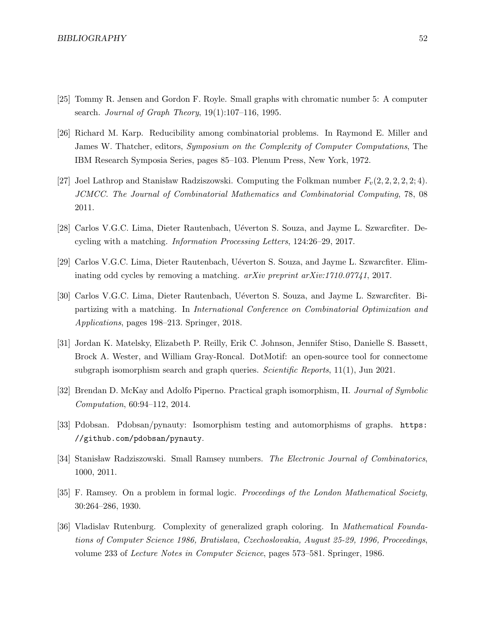- [25] Tommy R. Jensen and Gordon F. Royle. Small graphs with chromatic number 5: A computer search. Journal of Graph Theory,  $19(1):107-116$ , 1995.
- [26] Richard M. Karp. Reducibility among combinatorial problems. In Raymond E. Miller and James W. Thatcher, editors, Symposium on the Complexity of Computer Computations, The IBM Research Symposia Series, pages 85–103. Plenum Press, New York, 1972.
- [27] Joel Lathrop and Stanisław Radziszowski. Computing the Folkman number  $F_v(2, 2, 2, 2, 2, 4)$ . JCMCC. The Journal of Combinatorial Mathematics and Combinatorial Computing, 78, 08 2011.
- [28] Carlos V.G.C. Lima, Dieter Rautenbach, U´everton S. Souza, and Jayme L. Szwarcfiter. Decycling with a matching. Information Processing Letters, 124:26–29, 2017.
- [29] Carlos V.G.C. Lima, Dieter Rautenbach, Uéverton S. Souza, and Jayme L. Szwarcfiter. Eliminating odd cycles by removing a matching. arXiv preprint arXiv:1710.07741, 2017.
- [30] Carlos V.G.C. Lima, Dieter Rautenbach, Uéverton S. Souza, and Jayme L. Szwarcfiter. Bipartizing with a matching. In International Conference on Combinatorial Optimization and Applications, pages 198–213. Springer, 2018.
- [31] Jordan K. Matelsky, Elizabeth P. Reilly, Erik C. Johnson, Jennifer Stiso, Danielle S. Bassett, Brock A. Wester, and William Gray-Roncal. DotMotif: an open-source tool for connectome subgraph isomorphism search and graph queries. Scientific Reports, 11(1), Jun 2021.
- [32] Brendan D. McKay and Adolfo Piperno. Practical graph isomorphism, II. Journal of Symbolic Computation, 60:94–112, 2014.
- [33] Pdobsan. Pdobsan/pynauty: Isomorphism testing and automorphisms of graphs. https: //github.com/pdobsan/pynauty.
- [34] Stanisław Radziszowski. Small Ramsey numbers. The Electronic Journal of Combinatorics, 1000, 2011.
- [35] F. Ramsey. On a problem in formal logic. *Proceedings of the London Mathematical Society*, 30:264–286, 1930.
- [36] Vladislav Rutenburg. Complexity of generalized graph coloring. In Mathematical Foundations of Computer Science 1986, Bratislava, Czechoslovakia, August 25-29, 1996, Proceedings, volume 233 of Lecture Notes in Computer Science, pages 573–581. Springer, 1986.